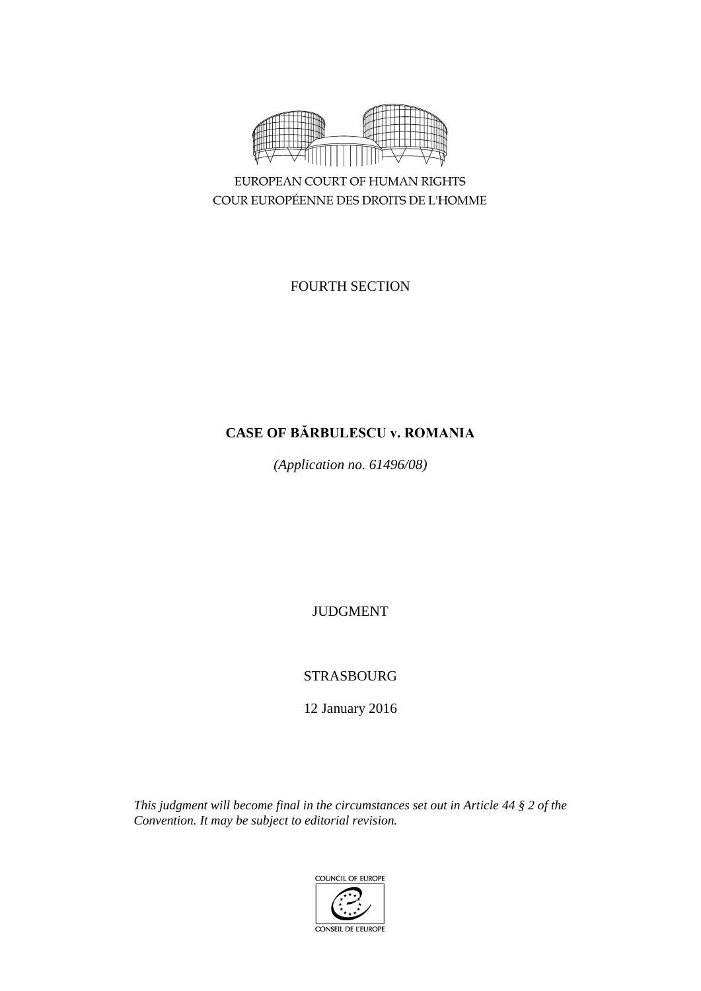

EUROPEAN COURT OF HUMAN RIGHTS COUR EUROPÉENNE DES DROITS DE L'HOMME

# FOURTH SECTION

# **CASE OF BĂRBULESCU v. ROMANIA**

*(Application no. 61496/08)*

JUDGMENT

STRASBOURG

12 January 2016

*This judgment will become final in the circumstances set out in Article 44 § 2 of the Convention. It may be subject to editorial revision.*

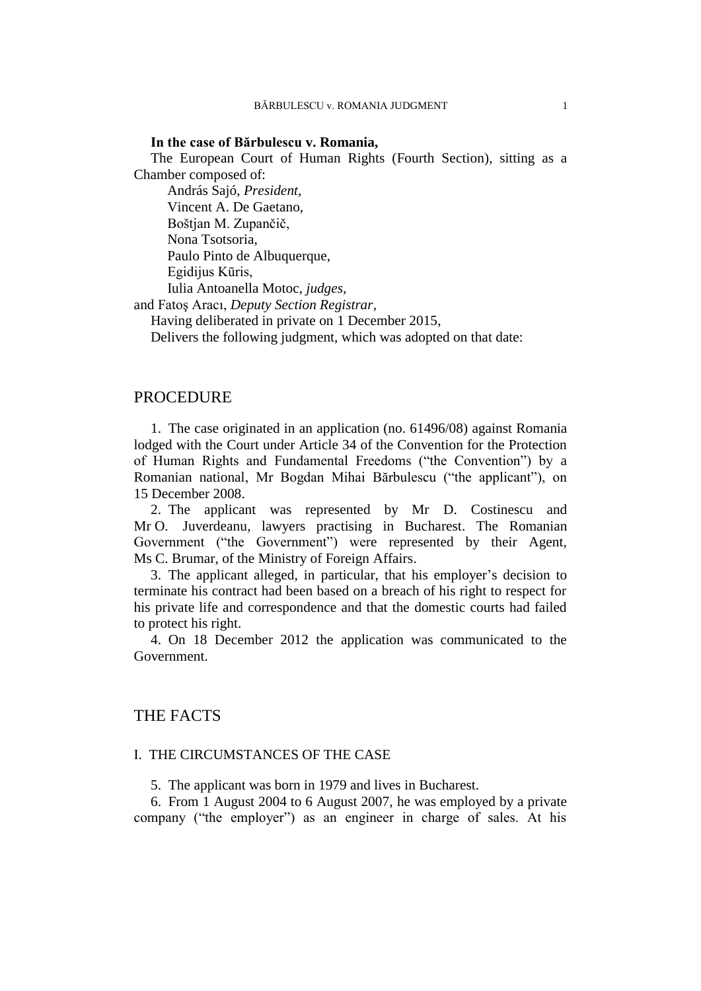## **In the case of Bărbulescu v. Romania,**

The European Court of Human Rights (Fourth Section), sitting as a Chamber composed of:

András Sajó, *President,* Vincent A. De Gaetano, Boštjan M. Zupančič, Nona Tsotsoria, Paulo Pinto de Albuquerque, Egidijus Kūris, Iulia Antoanella Motoc, *judges,*

and Fatoş Aracı, *Deputy Section Registrar,*

Having deliberated in private on 1 December 2015,

Delivers the following judgment, which was adopted on that date:

## PROCEDURE

1. The case originated in an application (no. 61496/08) against Romania lodged with the Court under Article 34 of the Convention for the Protection of Human Rights and Fundamental Freedoms ("the Convention") by a Romanian national, Mr Bogdan Mihai Bărbulescu ("the applicant"), on 15 December 2008.

2. The applicant was represented by Mr D. Costinescu and Mr O. Juverdeanu, lawyers practising in Bucharest. The Romanian Government ("the Government") were represented by their Agent, Ms C. Brumar, of the Ministry of Foreign Affairs.

3. The applicant alleged, in particular, that his employer's decision to terminate his contract had been based on a breach of his right to respect for his private life and correspondence and that the domestic courts had failed to protect his right.

4. On 18 December 2012 the application was communicated to the Government.

# THE FACTS

## I. THE CIRCUMSTANCES OF THE CASE

5. The applicant was born in 1979 and lives in Bucharest.

6. From 1 August 2004 to 6 August 2007, he was employed by a private company ("the employer") as an engineer in charge of sales. At his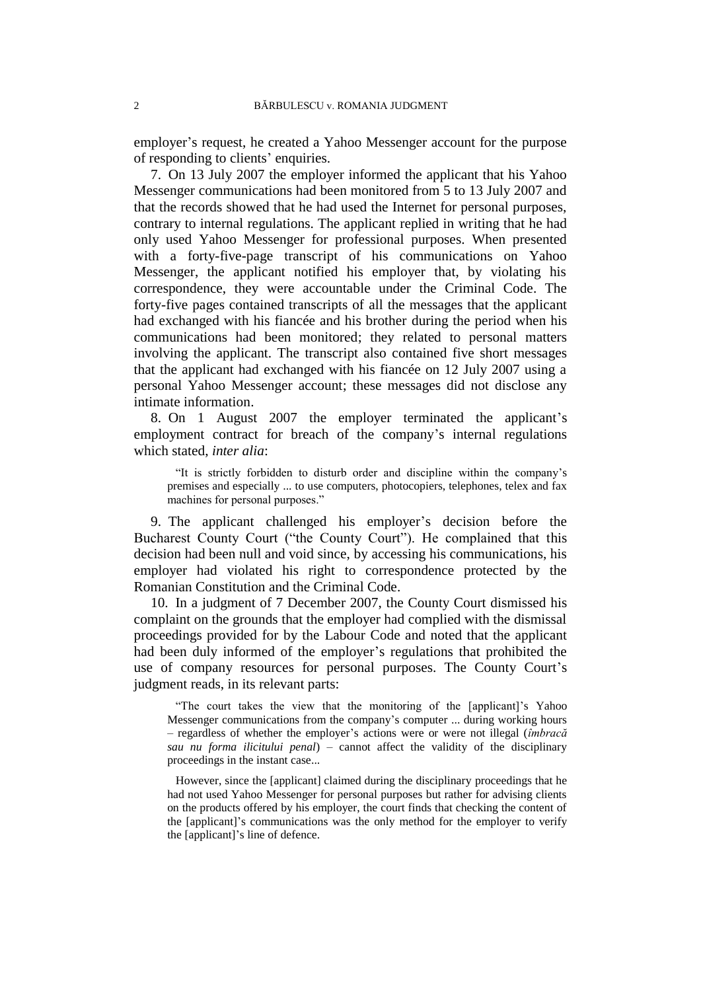employer's request, he created a Yahoo Messenger account for the purpose of responding to clients' enquiries.

<span id="page-3-1"></span>7. On 13 July 2007 the employer informed the applicant that his Yahoo Messenger communications had been monitored from 5 to 13 July 2007 and that the records showed that he had used the Internet for personal purposes, contrary to internal regulations. The applicant replied in writing that he had only used Yahoo Messenger for professional purposes. When presented with a forty-five-page transcript of his communications on Yahoo Messenger, the applicant notified his employer that, by violating his correspondence, they were accountable under the Criminal Code. The forty-five pages contained transcripts of all the messages that the applicant had exchanged with his fiancée and his brother during the period when his communications had been monitored; they related to personal matters involving the applicant. The transcript also contained five short messages that the applicant had exchanged with his fiancée on 12 July 2007 using a personal Yahoo Messenger account; these messages did not disclose any intimate information.

<span id="page-3-0"></span>8. On 1 August 2007 the employer terminated the applicant's employment contract for breach of the company's internal regulations which stated, *inter alia*:

"It is strictly forbidden to disturb order and discipline within the company's premises and especially ... to use computers, photocopiers, telephones, telex and fax machines for personal purposes."

9. The applicant challenged his employer's decision before the Bucharest County Court ("the County Court"). He complained that this decision had been null and void since, by accessing his communications, his employer had violated his right to correspondence protected by the Romanian Constitution and the Criminal Code.

<span id="page-3-2"></span>10. In a judgment of 7 December 2007, the County Court dismissed his complaint on the grounds that the employer had complied with the dismissal proceedings provided for by the Labour Code and noted that the applicant had been duly informed of the employer's regulations that prohibited the use of company resources for personal purposes. The County Court's judgment reads, in its relevant parts:

"The court takes the view that the monitoring of the [applicant]'s Yahoo Messenger communications from the company's computer ... during working hours – regardless of whether the employer's actions were or were not illegal (*îmbracă sau nu forma ilicitului penal*) – cannot affect the validity of the disciplinary proceedings in the instant case...

However, since the [applicant] claimed during the disciplinary proceedings that he had not used Yahoo Messenger for personal purposes but rather for advising clients on the products offered by his employer, the court finds that checking the content of the [applicant]'s communications was the only method for the employer to verify the [applicant]'s line of defence.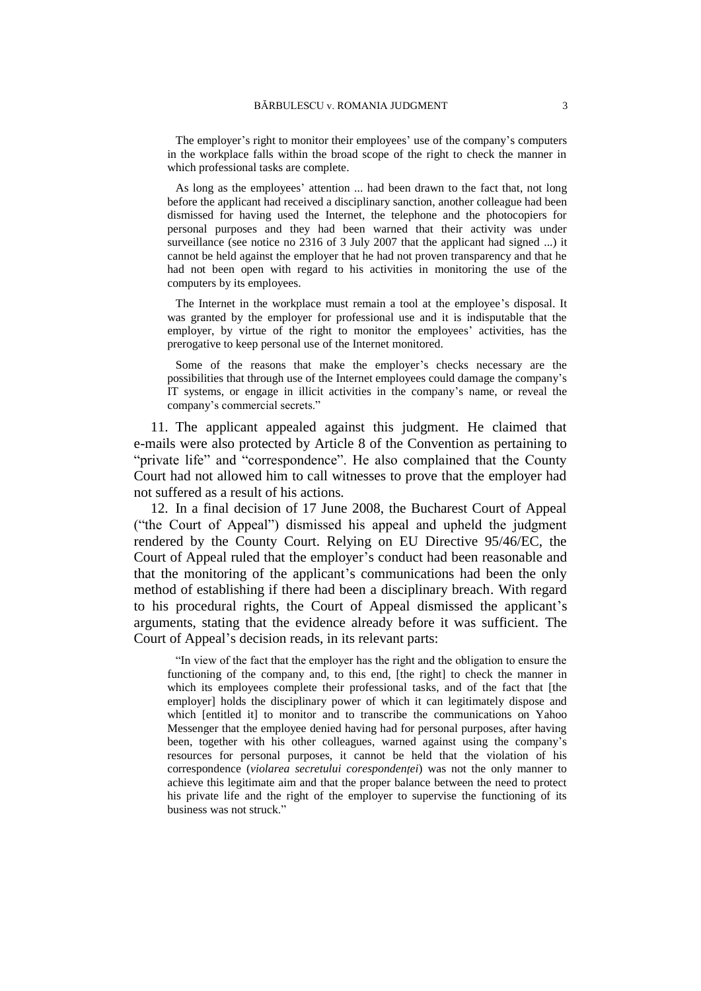The employer's right to monitor their employees' use of the company's computers in the workplace falls within the broad scope of the right to check the manner in which professional tasks are complete.

As long as the employees' attention ... had been drawn to the fact that, not long before the applicant had received a disciplinary sanction, another colleague had been dismissed for having used the Internet, the telephone and the photocopiers for personal purposes and they had been warned that their activity was under surveillance (see notice no 2316 of 3 July 2007 that the applicant had signed ...) it cannot be held against the employer that he had not proven transparency and that he had not been open with regard to his activities in monitoring the use of the computers by its employees.

The Internet in the workplace must remain a tool at the employee's disposal. It was granted by the employer for professional use and it is indisputable that the employer, by virtue of the right to monitor the employees' activities, has the prerogative to keep personal use of the Internet monitored.

Some of the reasons that make the employer's checks necessary are the possibilities that through use of the Internet employees could damage the company's IT systems, or engage in illicit activities in the company's name, or reveal the company's commercial secrets."

11. The applicant appealed against this judgment. He claimed that e-mails were also protected by Article 8 of the Convention as pertaining to "private life" and "correspondence". He also complained that the County Court had not allowed him to call witnesses to prove that the employer had not suffered as a result of his actions.

<span id="page-4-0"></span>12. In a final decision of 17 June 2008, the Bucharest Court of Appeal ("the Court of Appeal") dismissed his appeal and upheld the judgment rendered by the County Court. Relying on EU Directive 95/46/EC, the Court of Appeal ruled that the employer's conduct had been reasonable and that the monitoring of the applicant's communications had been the only method of establishing if there had been a disciplinary breach. With regard to his procedural rights, the Court of Appeal dismissed the applicant's arguments, stating that the evidence already before it was sufficient. The Court of Appeal's decision reads, in its relevant parts:

"In view of the fact that the employer has the right and the obligation to ensure the functioning of the company and, to this end, [the right] to check the manner in which its employees complete their professional tasks, and of the fact that [the employer] holds the disciplinary power of which it can legitimately dispose and which [entitled it] to monitor and to transcribe the communications on Yahoo Messenger that the employee denied having had for personal purposes, after having been, together with his other colleagues, warned against using the company's resources for personal purposes, it cannot be held that the violation of his correspondence (*violarea secretului corespondenţei*) was not the only manner to achieve this legitimate aim and that the proper balance between the need to protect his private life and the right of the employer to supervise the functioning of its business was not struck."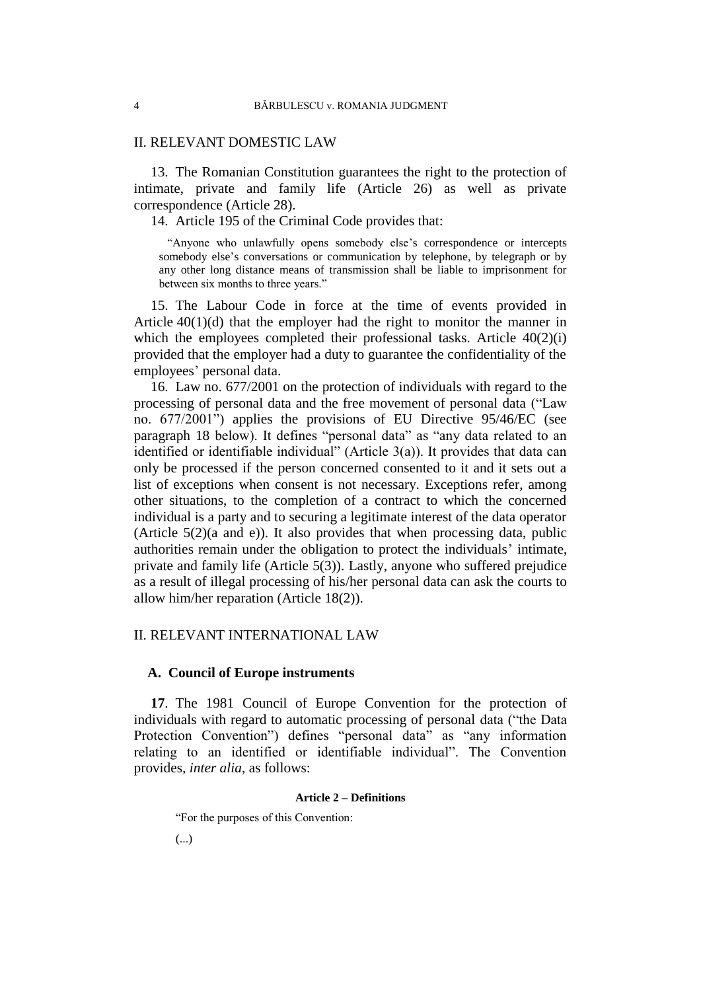## II. RELEVANT DOMESTIC LAW

13. The Romanian Constitution guarantees the right to the protection of intimate, private and family life (Article 26) as well as private correspondence (Article 28).

<span id="page-5-0"></span>14. Article 195 of the Criminal Code provides that:

"Anyone who unlawfully opens somebody else's correspondence or intercepts somebody else's conversations or communication by telephone, by telegraph or by any other long distance means of transmission shall be liable to imprisonment for between six months to three years."

<span id="page-5-3"></span>15. The Labour Code in force at the time of events provided in Article  $40(1)(d)$  that the employer had the right to monitor the manner in which the employees completed their professional tasks. Article  $40(2)(i)$ provided that the employer had a duty to guarantee the confidentiality of the employees' personal data.

<span id="page-5-1"></span>16. Law no. 677/2001 on the protection of individuals with regard to the processing of personal data and the free movement of personal data ("Law no. 677/2001") applies the provisions of EU Directive 95/46/EC (see paragraph [18](#page-6-0) below). It defines "personal data" as "any data related to an identified or identifiable individual" (Article 3(a)). It provides that data can only be processed if the person concerned consented to it and it sets out a list of exceptions when consent is not necessary. Exceptions refer, among other situations, to the completion of a contract to which the concerned individual is a party and to securing a legitimate interest of the data operator (Article 5(2)(a and e)). It also provides that when processing data, public authorities remain under the obligation to protect the individuals' intimate, private and family life (Article 5(3)). Lastly, anyone who suffered prejudice as a result of illegal processing of his/her personal data can ask the courts to allow him/her reparation (Article 18(2)).

## II. RELEVANT INTERNATIONAL LAW

#### **A. Council of Europe instruments**

<span id="page-5-2"></span>**17**. The 1981 Council of Europe Convention for the protection of individuals with regard to automatic processing of personal data ("the Data Protection Convention") defines "personal data" as "any information relating to an identified or identifiable individual". The Convention provides*, inter alia*, as follows:

#### **Article 2 – Definitions**

"For the purposes of this Convention:

(...)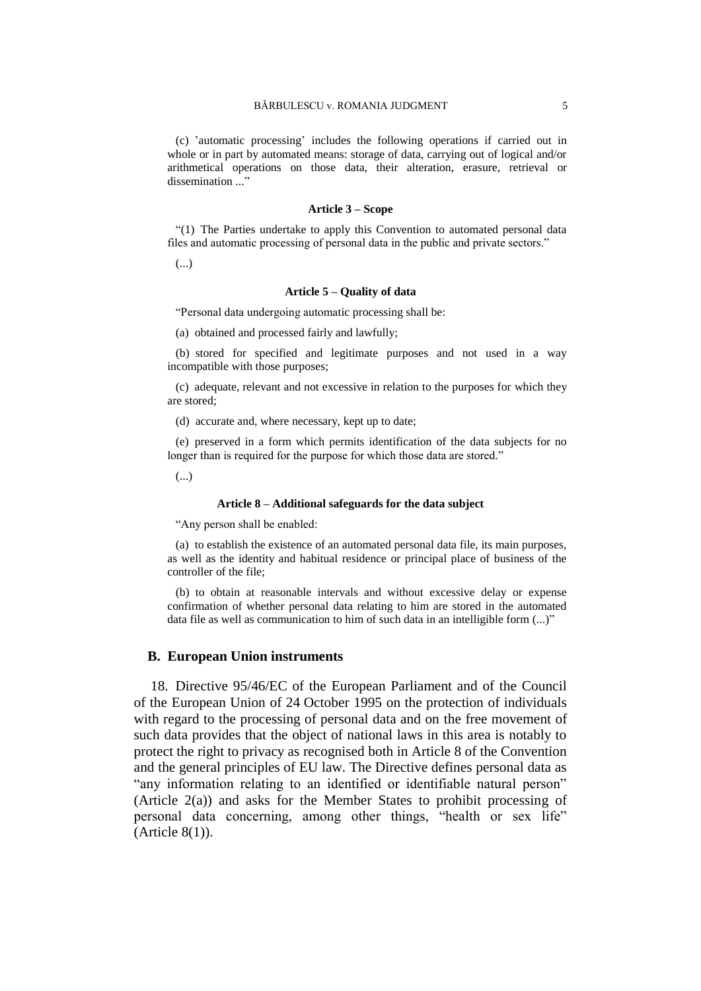(c) 'automatic processing' includes the following operations if carried out in whole or in part by automated means: storage of data, carrying out of logical and/or arithmetical operations on those data, their alteration, erasure, retrieval or dissemination ..."

#### **Article 3 – Scope**

"(1) The Parties undertake to apply this Convention to automated personal data files and automatic processing of personal data in the public and private sectors."

(...)

#### **Article 5 – Quality of data**

"Personal data undergoing automatic processing shall be:

(a) obtained and processed fairly and lawfully;

(b) stored for specified and legitimate purposes and not used in a way incompatible with those purposes;

(c) adequate, relevant and not excessive in relation to the purposes for which they are stored;

(d) accurate and, where necessary, kept up to date;

(e) preserved in a form which permits identification of the data subjects for no longer than is required for the purpose for which those data are stored."

(...)

#### **Article 8 – Additional safeguards for the data subject**

"Any person shall be enabled:

(a) to establish the existence of an automated personal data file, its main purposes, as well as the identity and habitual residence or principal place of business of the controller of the file;

(b) to obtain at reasonable intervals and without excessive delay or expense confirmation of whether personal data relating to him are stored in the automated data file as well as communication to him of such data in an intelligible form (...)"

#### **B. European Union instruments**

<span id="page-6-0"></span>18. Directive 95/46/EC of the European Parliament and of the Council of the European Union of 24 October 1995 on the protection of individuals with regard to the processing of personal data and on the free movement of such data provides that the object of national laws in this area is notably to protect the right to privacy as recognised both in Article 8 of the Convention and the general principles of EU law. The Directive defines personal data as "any information relating to an identified or identifiable natural person" (Article 2(a)) and asks for the Member States to prohibit processing of personal data concerning, among other things, "health or sex life" (Article 8(1)).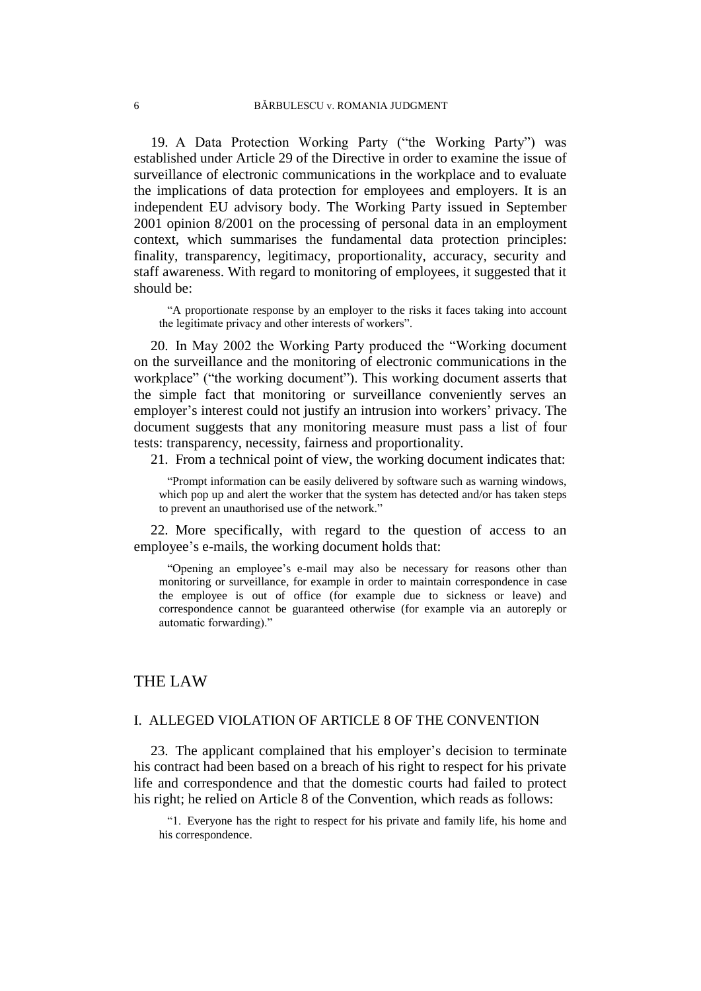<span id="page-7-0"></span>19. A Data Protection Working Party ("the Working Party") was established under Article 29 of the Directive in order to examine the issue of surveillance of electronic communications in the workplace and to evaluate the implications of data protection for employees and employers. It is an independent EU advisory body. The Working Party issued in September 2001 opinion 8/2001 on the processing of personal data in an employment context, which summarises the fundamental data protection principles: finality, transparency, legitimacy, proportionality, accuracy, security and staff awareness. With regard to monitoring of employees, it suggested that it should be:

"A proportionate response by an employer to the risks it faces taking into account the legitimate privacy and other interests of workers".

<span id="page-7-1"></span>20. In May 2002 the Working Party produced the "Working document on the surveillance and the monitoring of electronic communications in the workplace" ("the working document"). This working document asserts that the simple fact that monitoring or surveillance conveniently serves an employer's interest could not justify an intrusion into workers' privacy. The document suggests that any monitoring measure must pass a list of four tests: transparency, necessity, fairness and proportionality.

21. From a technical point of view, the working document indicates that:

"Prompt information can be easily delivered by software such as warning windows, which pop up and alert the worker that the system has detected and/or has taken steps to prevent an unauthorised use of the network."

22. More specifically, with regard to the question of access to an employee's e-mails, the working document holds that:

"Opening an employee's e-mail may also be necessary for reasons other than monitoring or surveillance, for example in order to maintain correspondence in case the employee is out of office (for example due to sickness or leave) and correspondence cannot be guaranteed otherwise (for example via an autoreply or automatic forwarding)."

## THE LAW

## I. ALLEGED VIOLATION OF ARTICLE 8 OF THE CONVENTION

23. The applicant complained that his employer's decision to terminate his contract had been based on a breach of his right to respect for his private life and correspondence and that the domestic courts had failed to protect his right; he relied on Article 8 of the Convention, which reads as follows:

"1. Everyone has the right to respect for his private and family life, his home and his correspondence.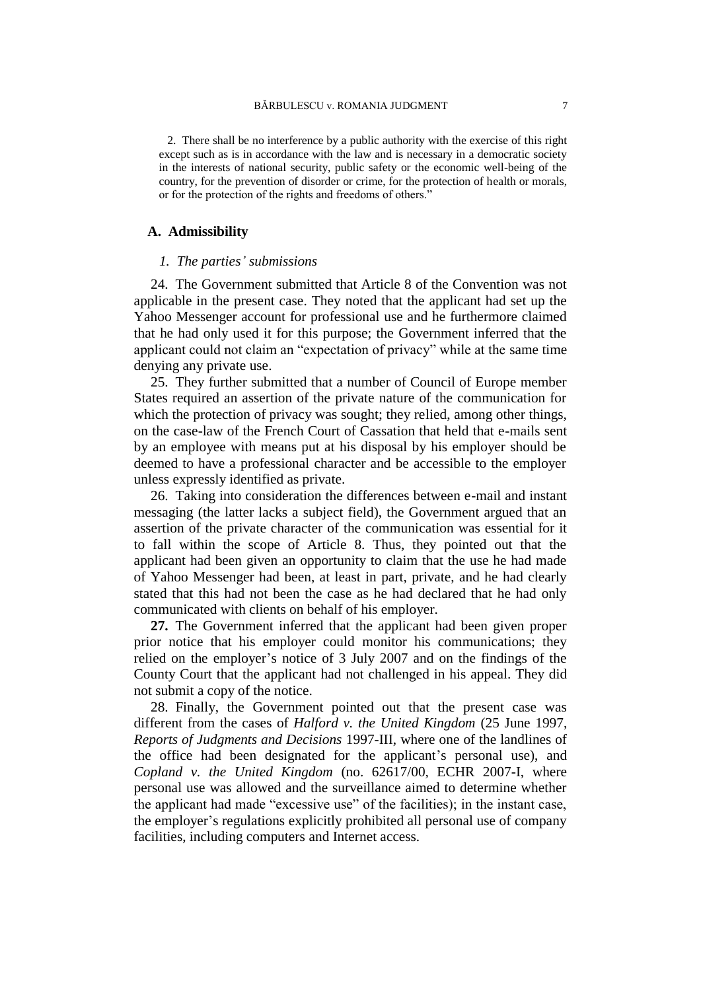2. There shall be no interference by a public authority with the exercise of this right except such as is in accordance with the law and is necessary in a democratic society in the interests of national security, public safety or the economic well-being of the country, for the prevention of disorder or crime, for the protection of health or morals, or for the protection of the rights and freedoms of others."

### **A. Admissibility**

#### *1. The parties' submissions*

24. The Government submitted that Article 8 of the Convention was not applicable in the present case. They noted that the applicant had set up the Yahoo Messenger account for professional use and he furthermore claimed that he had only used it for this purpose; the Government inferred that the applicant could not claim an "expectation of privacy" while at the same time denying any private use.

25. They further submitted that a number of Council of Europe member States required an assertion of the private nature of the communication for which the protection of privacy was sought; they relied, among other things, on the case-law of the French Court of Cassation that held that e-mails sent by an employee with means put at his disposal by his employer should be deemed to have a professional character and be accessible to the employer unless expressly identified as private.

26. Taking into consideration the differences between e-mail and instant messaging (the latter lacks a subject field), the Government argued that an assertion of the private character of the communication was essential for it to fall within the scope of Article 8. Thus, they pointed out that the applicant had been given an opportunity to claim that the use he had made of Yahoo Messenger had been, at least in part, private, and he had clearly stated that this had not been the case as he had declared that he had only communicated with clients on behalf of his employer.

<span id="page-8-0"></span>**27.** The Government inferred that the applicant had been given proper prior notice that his employer could monitor his communications; they relied on the employer's notice of 3 July 2007 and on the findings of the County Court that the applicant had not challenged in his appeal. They did not submit a copy of the notice.

28. Finally, the Government pointed out that the present case was different from the cases of *Halford v. the United Kingdom* (25 June 1997, *Reports of Judgments and Decisions* 1997-III, where one of the landlines of the office had been designated for the applicant's personal use), and *Copland v. the United Kingdom* (no. 62617/00, ECHR 2007-I, where personal use was allowed and the surveillance aimed to determine whether the applicant had made "excessive use" of the facilities); in the instant case, the employer's regulations explicitly prohibited all personal use of company facilities, including computers and Internet access.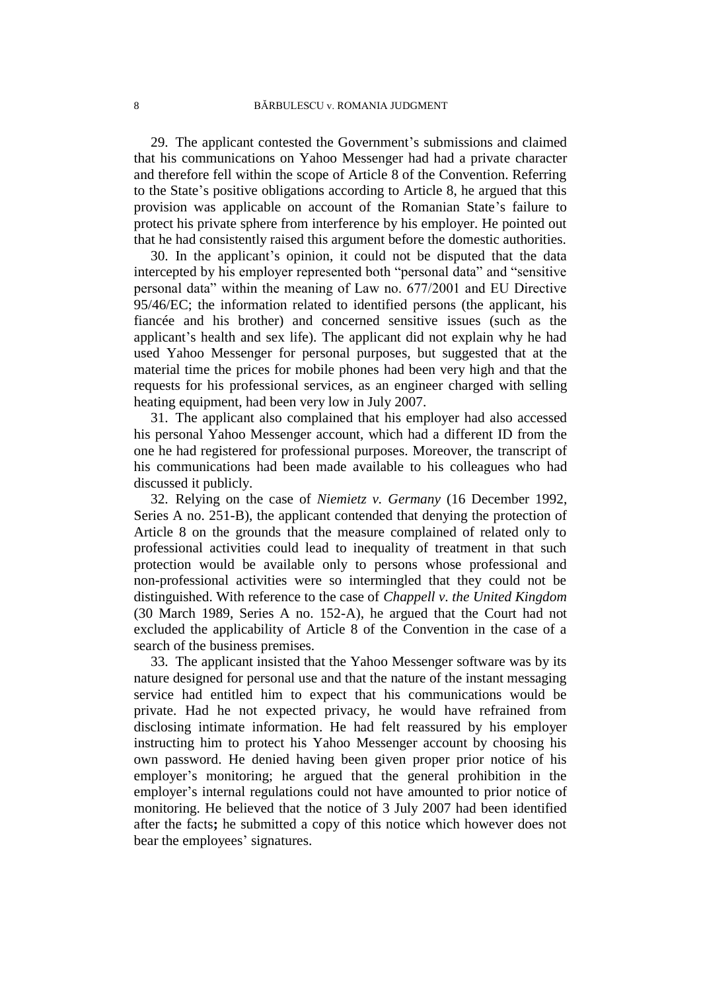29. The applicant contested the Government's submissions and claimed that his communications on Yahoo Messenger had had a private character and therefore fell within the scope of Article 8 of the Convention. Referring to the State's positive obligations according to Article 8, he argued that this provision was applicable on account of the Romanian State's failure to protect his private sphere from interference by his employer. He pointed out that he had consistently raised this argument before the domestic authorities.

<span id="page-9-1"></span>30. In the applicant's opinion, it could not be disputed that the data intercepted by his employer represented both "personal data" and "sensitive personal data" within the meaning of Law no. 677/2001 and EU Directive 95/46/EC; the information related to identified persons (the applicant, his fiancée and his brother) and concerned sensitive issues (such as the applicant's health and sex life). The applicant did not explain why he had used Yahoo Messenger for personal purposes, but suggested that at the material time the prices for mobile phones had been very high and that the requests for his professional services, as an engineer charged with selling heating equipment, had been very low in July 2007.

<span id="page-9-2"></span>31. The applicant also complained that his employer had also accessed his personal Yahoo Messenger account, which had a different ID from the one he had registered for professional purposes. Moreover, the transcript of his communications had been made available to his colleagues who had discussed it publicly.

32. Relying on the case of *Niemietz v. Germany* (16 December 1992, Series A no. 251-B), the applicant contended that denying the protection of Article 8 on the grounds that the measure complained of related only to professional activities could lead to inequality of treatment in that such protection would be available only to persons whose professional and non-professional activities were so intermingled that they could not be distinguished. With reference to the case of *Chappell v. the United Kingdom* (30 March 1989, Series A no. 152-A), he argued that the Court had not excluded the applicability of Article 8 of the Convention in the case of a search of the business premises.

<span id="page-9-0"></span>33. The applicant insisted that the Yahoo Messenger software was by its nature designed for personal use and that the nature of the instant messaging service had entitled him to expect that his communications would be private. Had he not expected privacy, he would have refrained from disclosing intimate information. He had felt reassured by his employer instructing him to protect his Yahoo Messenger account by choosing his own password. He denied having been given proper prior notice of his employer's monitoring; he argued that the general prohibition in the employer's internal regulations could not have amounted to prior notice of monitoring. He believed that the notice of 3 July 2007 had been identified after the facts**;** he submitted a copy of this notice which however does not bear the employees' signatures.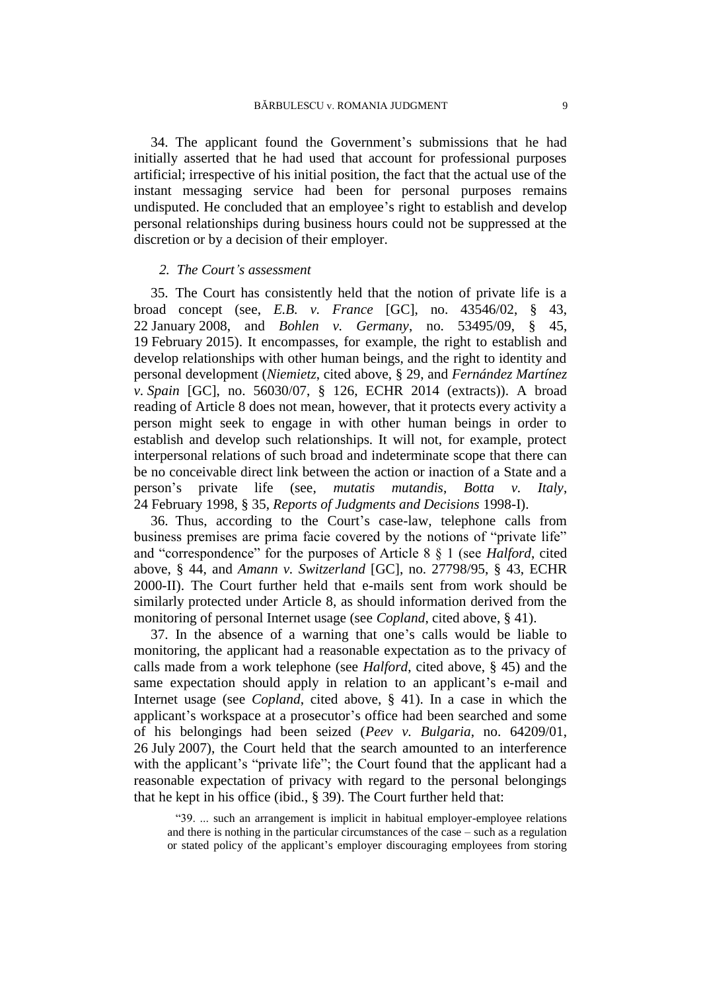34. The applicant found the Government's submissions that he had initially asserted that he had used that account for professional purposes artificial; irrespective of his initial position, the fact that the actual use of the instant messaging service had been for personal purposes remains undisputed. He concluded that an employee's right to establish and develop personal relationships during business hours could not be suppressed at the discretion or by a decision of their employer.

## *2. The Court's assessment*

35. The Court has consistently held that the notion of private life is a broad concept (see, *E.B. v. France* [GC], no. 43546/02, § 43, 22 January 2008, and *Bohlen v. Germany*, no. 53495/09, § 45, 19 February 2015). It encompasses, for example, the right to establish and develop relationships with other human beings, and the right to identity and personal development (*Niemietz*, cited above, § 29, and *Fernández Martínez v. Spain* [GC], no. 56030/07, § 126, ECHR 2014 (extracts)). A broad reading of Article 8 does not mean, however, that it protects every activity a person might seek to engage in with other human beings in order to establish and develop such relationships. It will not, for example, protect interpersonal relations of such broad and indeterminate scope that there can be no conceivable direct link between the action or inaction of a State and a person's private life (see, *mutatis mutandis*, *Botta v. Italy*, 24 February 1998, § 35, *Reports of Judgments and Decisions* 1998-I).

36. Thus, according to the Court's case-law, telephone calls from business premises are prima facie covered by the notions of "private life" and "correspondence" for the purposes of Article 8 § 1 (see *Halford*, cited above, § 44, and *Amann v. Switzerland* [GC], no. 27798/95, § 43, ECHR 2000-II). The Court further held that e-mails sent from work should be similarly protected under Article 8, as should information derived from the monitoring of personal Internet usage (see *Copland*, cited above, § 41).

37. In the absence of a warning that one's calls would be liable to monitoring, the applicant had a reasonable expectation as to the privacy of calls made from a work telephone (see *Halford*, cited above, § 45) and the same expectation should apply in relation to an applicant's e-mail and Internet usage (see *Copland*, cited above, § 41). In a case in which the applicant's workspace at a prosecutor's office had been searched and some of his belongings had been seized (*Peev v. Bulgaria*, no. 64209/01, 26 July 2007), the Court held that the search amounted to an interference with the applicant's "private life"; the Court found that the applicant had a reasonable expectation of privacy with regard to the personal belongings that he kept in his office (ibid., § 39). The Court further held that:

"39. ... such an arrangement is implicit in habitual employer-employee relations and there is nothing in the particular circumstances of the case – such as a regulation or stated policy of the applicant's employer discouraging employees from storing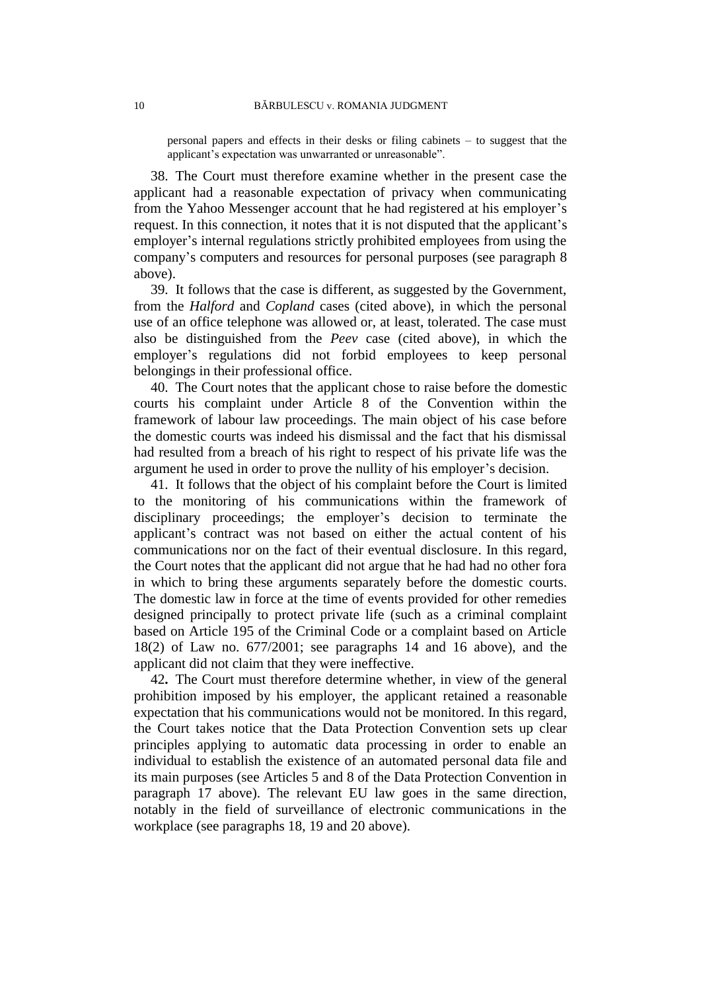personal papers and effects in their desks or filing cabinets – to suggest that the applicant's expectation was unwarranted or unreasonable".

38. The Court must therefore examine whether in the present case the applicant had a reasonable expectation of privacy when communicating from the Yahoo Messenger account that he had registered at his employer's request. In this connection, it notes that it is not disputed that the applicant's employer's internal regulations strictly prohibited employees from using the company's computers and resources for personal purposes (see paragraph [8](#page-3-0) above).

39. It follows that the case is different, as suggested by the Government, from the *Halford* and *Copland* cases (cited above), in which the personal use of an office telephone was allowed or, at least, tolerated. The case must also be distinguished from the *Peev* case (cited above), in which the employer's regulations did not forbid employees to keep personal belongings in their professional office.

<span id="page-11-0"></span>40. The Court notes that the applicant chose to raise before the domestic courts his complaint under Article 8 of the Convention within the framework of labour law proceedings. The main object of his case before the domestic courts was indeed his dismissal and the fact that his dismissal had resulted from a breach of his right to respect of his private life was the argument he used in order to prove the nullity of his employer's decision.

<span id="page-11-1"></span>41. It follows that the object of his complaint before the Court is limited to the monitoring of his communications within the framework of disciplinary proceedings; the employer's decision to terminate the applicant's contract was not based on either the actual content of his communications nor on the fact of their eventual disclosure. In this regard, the Court notes that the applicant did not argue that he had had no other fora in which to bring these arguments separately before the domestic courts. The domestic law in force at the time of events provided for other remedies designed principally to protect private life (such as a criminal complaint based on Article 195 of the Criminal Code or a complaint based on Article 18(2) of Law no. 677/2001; see paragraphs [14](#page-5-0) and [16](#page-5-1) above), and the applicant did not claim that they were ineffective.

42**.** The Court must therefore determine whether, in view of the general prohibition imposed by his employer, the applicant retained a reasonable expectation that his communications would not be monitored. In this regard, the Court takes notice that the Data Protection Convention sets up clear principles applying to automatic data processing in order to enable an individual to establish the existence of an automated personal data file and its main purposes (see Articles 5 and 8 of the Data Protection Convention in paragraph [17](#page-5-2) above). The relevant EU law goes in the same direction, notably in the field of surveillance of electronic communications in the workplace (see paragraphs [18,](#page-6-0) [19](#page-7-0) and [20](#page-7-1) above).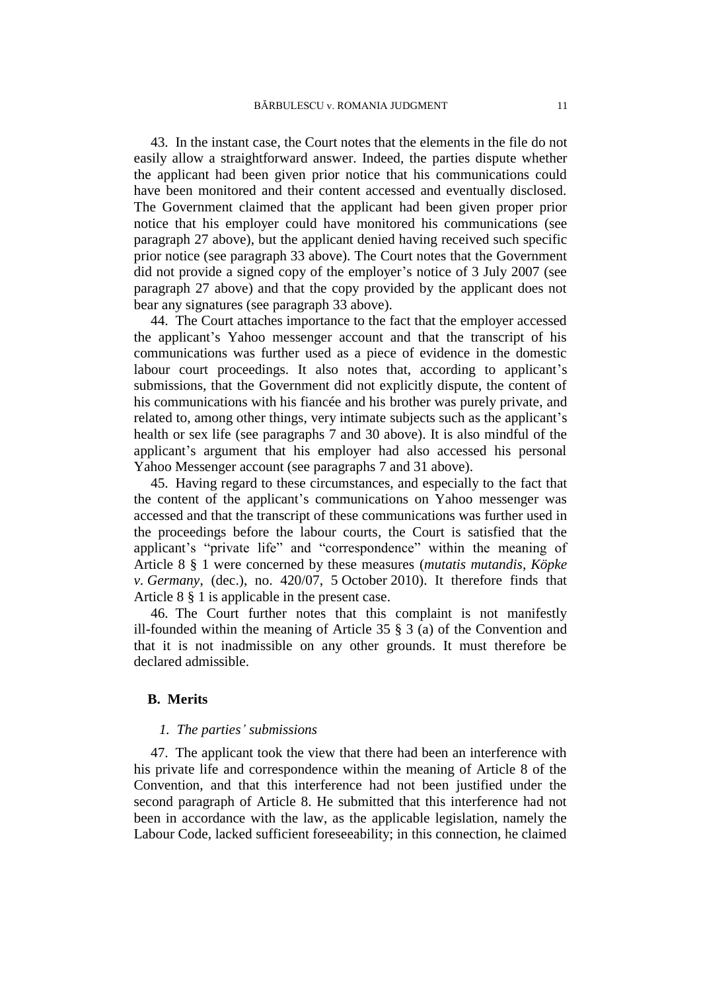43. In the instant case, the Court notes that the elements in the file do not easily allow a straightforward answer. Indeed, the parties dispute whether the applicant had been given prior notice that his communications could have been monitored and their content accessed and eventually disclosed. The Government claimed that the applicant had been given proper prior notice that his employer could have monitored his communications (see paragraph [27](#page-8-0) above), but the applicant denied having received such specific prior notice (see paragraph [33](#page-9-0) above). The Court notes that the Government did not provide a signed copy of the employer's notice of 3 July 2007 (see paragraph [27](#page-8-0) above) and that the copy provided by the applicant does not bear any signatures (see paragraph [33](#page-9-0) above).

44.The Court attaches importance to the fact that the employer accessed the applicant's Yahoo messenger account and that the transcript of his communications was further used as a piece of evidence in the domestic labour court proceedings. It also notes that, according to applicant's submissions, that the Government did not explicitly dispute, the content of his communications with his fiancée and his brother was purely private, and related to, among other things, very intimate subjects such as the applicant's health or sex life (see paragraphs [7](#page-3-1) and [30](#page-9-1) above). It is also mindful of the applicant's argument that his employer had also accessed his personal Yahoo Messenger account (see paragraphs [7](#page-3-1) and [31](#page-9-2) above).

45. Having regard to these circumstances, and especially to the fact that the content of the applicant's communications on Yahoo messenger was accessed and that the transcript of these communications was further used in the proceedings before the labour courts, the Court is satisfied that the applicant's "private life" and "correspondence" within the meaning of Article 8 § 1 were concerned by these measures (*mutatis mutandis*, *Köpke v. Germany*, (dec.), no. 420/07, 5 October 2010). It therefore finds that Article 8 § 1 is applicable in the present case.

46. The Court further notes that this complaint is not manifestly ill-founded within the meaning of Article 35 § 3 (a) of the Convention and that it is not inadmissible on any other grounds. It must therefore be declared admissible.

## **B. Merits**

### *1. The parties' submissions*

<span id="page-12-0"></span>47. The applicant took the view that there had been an interference with his private life and correspondence within the meaning of Article 8 of the Convention, and that this interference had not been justified under the second paragraph of Article 8. He submitted that this interference had not been in accordance with the law, as the applicable legislation, namely the Labour Code, lacked sufficient foreseeability; in this connection, he claimed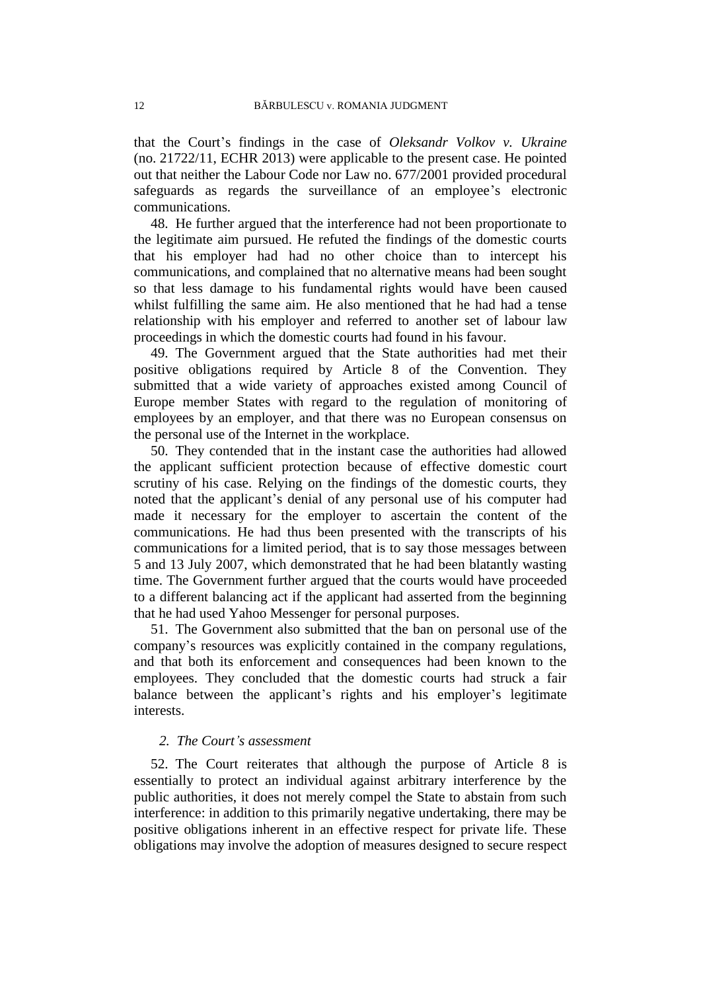that the Court's findings in the case of *Oleksandr Volkov v. Ukraine* (no. 21722/11, ECHR 2013) were applicable to the present case. He pointed out that neither the Labour Code nor Law no. 677/2001 provided procedural safeguards as regards the surveillance of an employee's electronic communications.

48. He further argued that the interference had not been proportionate to the legitimate aim pursued. He refuted the findings of the domestic courts that his employer had had no other choice than to intercept his communications, and complained that no alternative means had been sought so that less damage to his fundamental rights would have been caused whilst fulfilling the same aim. He also mentioned that he had had a tense relationship with his employer and referred to another set of labour law proceedings in which the domestic courts had found in his favour.

49. The Government argued that the State authorities had met their positive obligations required by Article 8 of the Convention. They submitted that a wide variety of approaches existed among Council of Europe member States with regard to the regulation of monitoring of employees by an employer, and that there was no European consensus on the personal use of the Internet in the workplace.

50. They contended that in the instant case the authorities had allowed the applicant sufficient protection because of effective domestic court scrutiny of his case. Relying on the findings of the domestic courts, they noted that the applicant's denial of any personal use of his computer had made it necessary for the employer to ascertain the content of the communications. He had thus been presented with the transcripts of his communications for a limited period, that is to say those messages between 5 and 13 July 2007, which demonstrated that he had been blatantly wasting time. The Government further argued that the courts would have proceeded to a different balancing act if the applicant had asserted from the beginning that he had used Yahoo Messenger for personal purposes.

51. The Government also submitted that the ban on personal use of the company's resources was explicitly contained in the company regulations, and that both its enforcement and consequences had been known to the employees. They concluded that the domestic courts had struck a fair balance between the applicant's rights and his employer's legitimate interests.

## *2. The Court's assessment*

52. The Court reiterates that although the purpose of Article 8 is essentially to protect an individual against arbitrary interference by the public authorities, it does not merely compel the State to abstain from such interference: in addition to this primarily negative undertaking, there may be positive obligations inherent in an effective respect for private life. These obligations may involve the adoption of measures designed to secure respect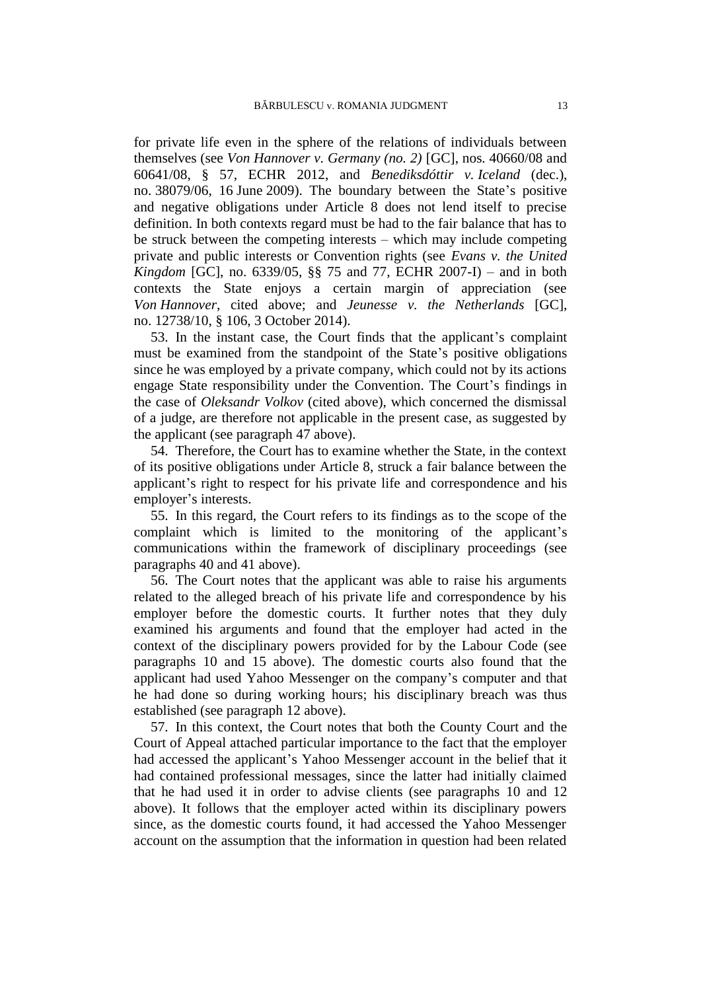for private life even in the sphere of the relations of individuals between themselves (see *Von Hannover v. Germany (no. 2)* [GC], nos. 40660/08 and 60641/08, § 57, ECHR 2012, and *Benediksdóttir v. Iceland* (dec.), no. 38079/06, 16 June 2009). The boundary between the State's positive and negative obligations under Article 8 does not lend itself to precise definition. In both contexts regard must be had to the fair balance that has to be struck between the competing interests – which may include competing private and public interests or Convention rights (see *Evans v. the United Kingdom* [GC], no. 6339/05, §§ 75 and 77, ECHR 2007-I) – and in both contexts the State enjoys a certain margin of appreciation (see *Von Hannover*, cited above; and *Jeunesse v. the Netherlands* [GC], no. 12738/10, § 106, 3 October 2014).

53. In the instant case, the Court finds that the applicant's complaint must be examined from the standpoint of the State's positive obligations since he was employed by a private company, which could not by its actions engage State responsibility under the Convention. The Court's findings in the case of *Oleksandr Volkov* (cited above), which concerned the dismissal of a judge, are therefore not applicable in the present case, as suggested by the applicant (see paragraph [47](#page-12-0) above).

54. Therefore, the Court has to examine whether the State, in the context of its positive obligations under Article 8, struck a fair balance between the applicant's right to respect for his private life and correspondence and his employer's interests.

55. In this regard, the Court refers to its findings as to the scope of the complaint which is limited to the monitoring of the applicant's communications within the framework of disciplinary proceedings (see paragraphs [40](#page-11-0) and [41](#page-11-1) above).

56. The Court notes that the applicant was able to raise his arguments related to the alleged breach of his private life and correspondence by his employer before the domestic courts. It further notes that they duly examined his arguments and found that the employer had acted in the context of the disciplinary powers provided for by the Labour Code (see paragraphs [10](#page-3-2) and [15](#page-5-3) above). The domestic courts also found that the applicant had used Yahoo Messenger on the company's computer and that he had done so during working hours; his disciplinary breach was thus established (see paragraph [12](#page-4-0) above).

57. In this context, the Court notes that both the County Court and the Court of Appeal attached particular importance to the fact that the employer had accessed the applicant's Yahoo Messenger account in the belief that it had contained professional messages, since the latter had initially claimed that he had used it in order to advise clients (see paragraphs [10](#page-3-2) and [12](#page-4-0) above). It follows that the employer acted within its disciplinary powers since, as the domestic courts found, it had accessed the Yahoo Messenger account on the assumption that the information in question had been related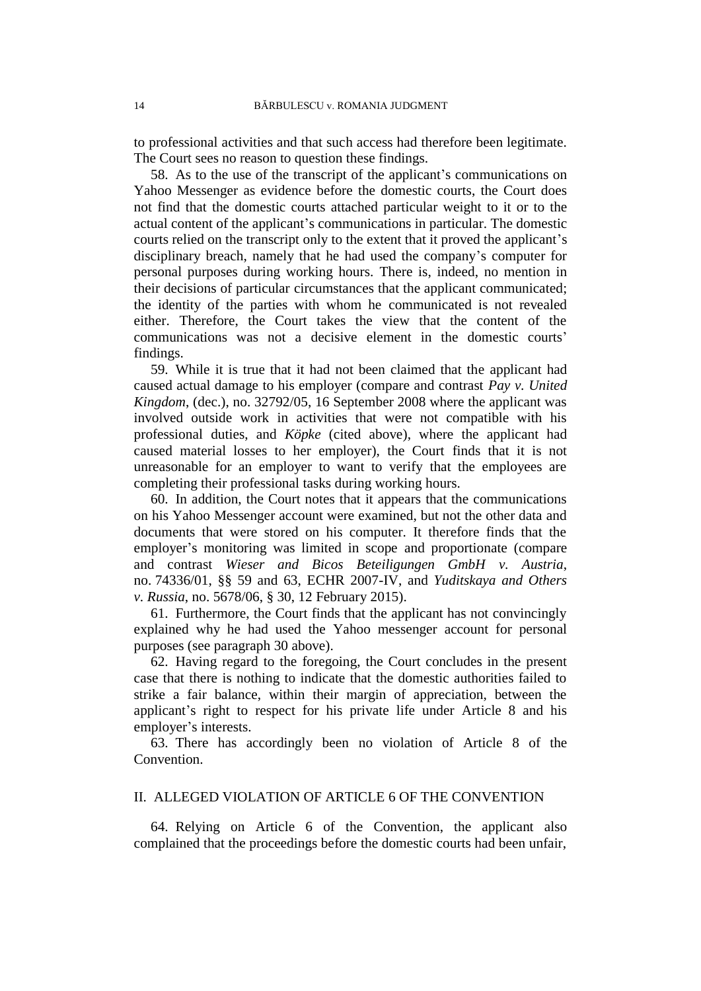to professional activities and that such access had therefore been legitimate. The Court sees no reason to question these findings.

58.As to the use of the transcript of the applicant's communications on Yahoo Messenger as evidence before the domestic courts, the Court does not find that the domestic courts attached particular weight to it or to the actual content of the applicant's communications in particular. The domestic courts relied on the transcript only to the extent that it proved the applicant's disciplinary breach, namely that he had used the company's computer for personal purposes during working hours. There is, indeed, no mention in their decisions of particular circumstances that the applicant communicated; the identity of the parties with whom he communicated is not revealed either. Therefore, the Court takes the view that the content of the communications was not a decisive element in the domestic courts' findings.

59. While it is true that it had not been claimed that the applicant had caused actual damage to his employer (compare and contrast *Pay v. United Kingdom*, (dec.), no. 32792/05, 16 September 2008 where the applicant was involved outside work in activities that were not compatible with his professional duties, and *Köpke* (cited above), where the applicant had caused material losses to her employer), the Court finds that it is not unreasonable for an employer to want to verify that the employees are completing their professional tasks during working hours.

60. In addition, the Court notes that it appears that the communications on his Yahoo Messenger account were examined, but not the other data and documents that were stored on his computer. It therefore finds that the employer's monitoring was limited in scope and proportionate (compare and contrast *Wieser and Bicos Beteiligungen GmbH v. Austria*, no. 74336/01, §§ 59 and 63, ECHR 2007-IV, and *Yuditskaya and Others v. Russia*, no. 5678/06, § 30, 12 February 2015).

61. Furthermore, the Court finds that the applicant has not convincingly explained why he had used the Yahoo messenger account for personal purposes (see paragraph [30](#page-9-1) above).

62. Having regard to the foregoing, the Court concludes in the present case that there is nothing to indicate that the domestic authorities failed to strike a fair balance, within their margin of appreciation, between the applicant's right to respect for his private life under Article 8 and his employer's interests.

63. There has accordingly been no violation of Article 8 of the Convention.

## II. ALLEGED VIOLATION OF ARTICLE 6 OF THE CONVENTION

64. Relying on Article 6 of the Convention, the applicant also complained that the proceedings before the domestic courts had been unfair,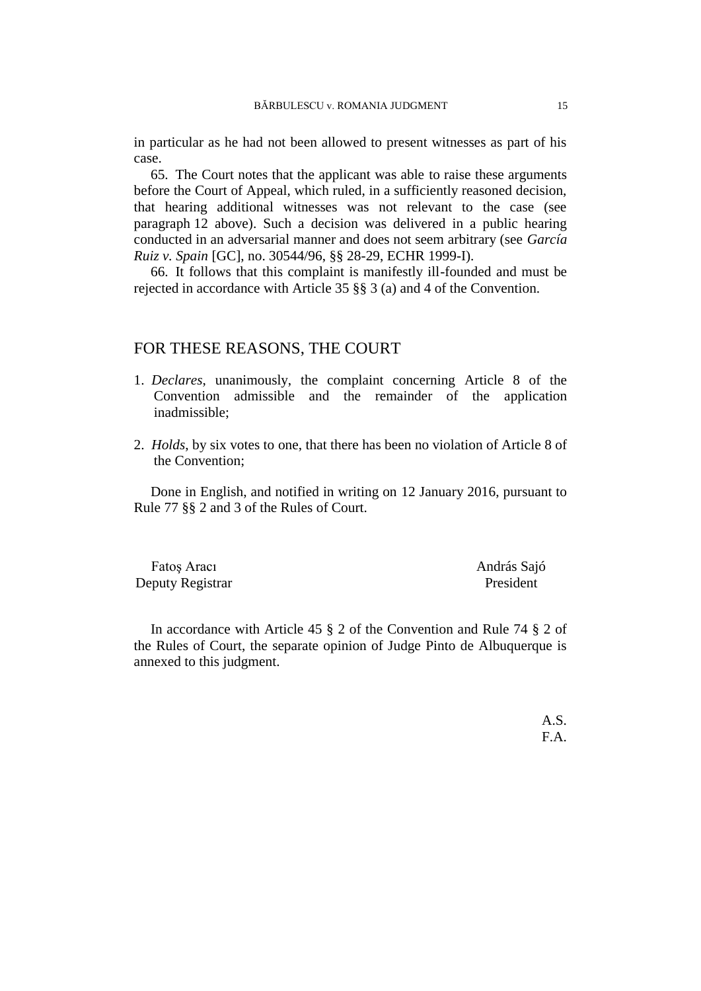in particular as he had not been allowed to present witnesses as part of his case.

65. The Court notes that the applicant was able to raise these arguments before the Court of Appeal, which ruled, in a sufficiently reasoned decision, that hearing additional witnesses was not relevant to the case (see paragraph [12](#page-4-0) above). Such a decision was delivered in a public hearing conducted in an adversarial manner and does not seem arbitrary (see *García Ruiz v. Spain* [GC], no. 30544/96, §§ 28-29, ECHR 1999-I).

66. It follows that this complaint is manifestly ill-founded and must be rejected in accordance with Article 35 §§ 3 (a) and 4 of the Convention.

# FOR THESE REASONS, THE COURT

- 1. *Declares*, unanimously, the complaint concerning Article 8 of the Convention admissible and the remainder of the application inadmissible;
- 2. *Holds*, by six votes to one, that there has been no violation of Article 8 of the Convention;

Done in English, and notified in writing on 12 January 2016, pursuant to Rule 77 §§ 2 and 3 of the Rules of Court.

Fatoş Aracı **András Sajó** Deputy Registrar President

In accordance with Article 45 § 2 of the Convention and Rule 74 § 2 of the Rules of Court, the separate opinion of Judge Pinto de Albuquerque is annexed to this judgment.

> A.S. F.A.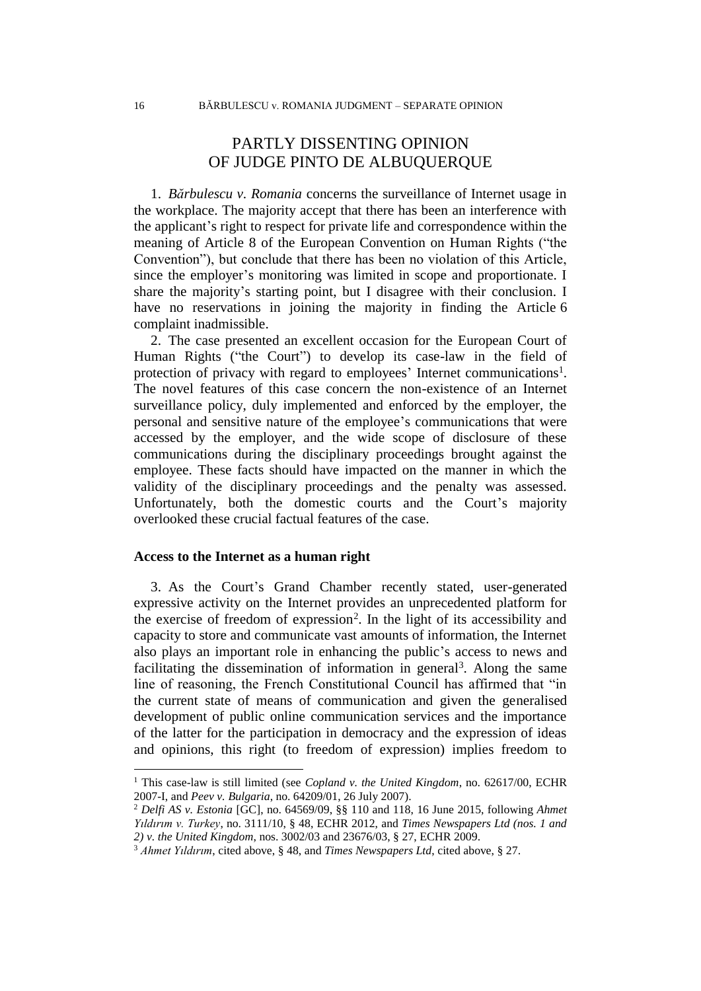# PARTLY DISSENTING OPINION OF JUDGE PINTO DE ALBUQUERQUE

1. *Bărbulescu v. Romania* concerns the surveillance of Internet usage in the workplace. The majority accept that there has been an interference with the applicant's right to respect for private life and correspondence within the meaning of Article 8 of the European Convention on Human Rights ("the Convention"), but conclude that there has been no violation of this Article, since the employer's monitoring was limited in scope and proportionate. I share the majority's starting point, but I disagree with their conclusion. I have no reservations in joining the majority in finding the Article 6 complaint inadmissible.

2. The case presented an excellent occasion for the European Court of Human Rights ("the Court") to develop its case-law in the field of protection of privacy with regard to employees' Internet communications<sup>1</sup>. The novel features of this case concern the non-existence of an Internet surveillance policy, duly implemented and enforced by the employer, the personal and sensitive nature of the employee's communications that were accessed by the employer, and the wide scope of disclosure of these communications during the disciplinary proceedings brought against the employee. These facts should have impacted on the manner in which the validity of the disciplinary proceedings and the penalty was assessed. Unfortunately, both the domestic courts and the Court's majority overlooked these crucial factual features of the case.

## **Access to the Internet as a human right**

3. As the Court's Grand Chamber recently stated, user-generated expressive activity on the Internet provides an unprecedented platform for the exercise of freedom of expression<sup>2</sup>. In the light of its accessibility and capacity to store and communicate vast amounts of information, the Internet also plays an important role in enhancing the public's access to news and facilitating the dissemination of information in general<sup>3</sup>. Along the same line of reasoning, the French Constitutional Council has affirmed that "in the current state of means of communication and given the generalised development of public online communication services and the importance of the latter for the participation in democracy and the expression of ideas and opinions, this right (to freedom of expression) implies freedom to

<sup>1</sup> This case-law is still limited (see *Copland v. the United Kingdom*, no. 62617/00, ECHR 2007-I, and *Peev v. Bulgaria*, no. 64209/01, 26 July 2007).

<sup>2</sup> *Delfi AS v. Estonia* [GC], no. 64569/09, §§ 110 and 118, 16 June 2015, following *Ahmet Yıldırım v. Turkey*, no. 3111/10, § 48, ECHR 2012, and *Times Newspapers Ltd (nos. 1 and 2) v. the United Kingdom*, nos. 3002/03 and 23676/03, § 27, ECHR 2009.

<sup>3</sup> *Ahmet Yıldırım*, cited above, § 48, and *Times Newspapers Ltd*, cited above, § 27.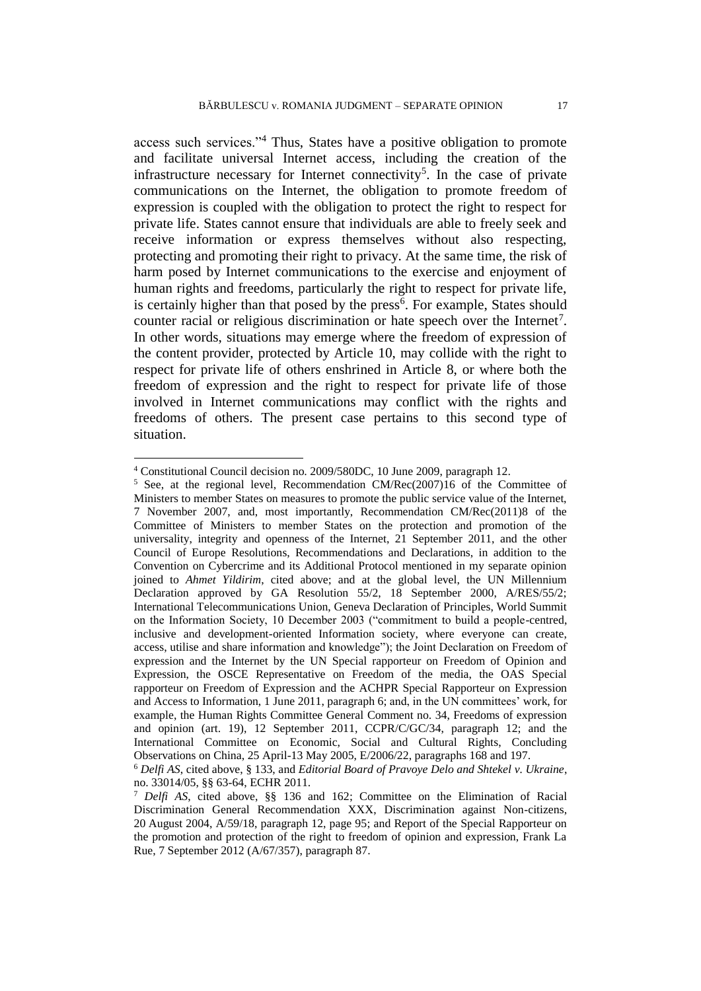access such services."<sup>4</sup> Thus, States have a positive obligation to promote and facilitate universal Internet access, including the creation of the infrastructure necessary for Internet connectivity<sup>5</sup>. In the case of private communications on the Internet, the obligation to promote freedom of expression is coupled with the obligation to protect the right to respect for private life. States cannot ensure that individuals are able to freely seek and receive information or express themselves without also respecting, protecting and promoting their right to privacy. At the same time, the risk of harm posed by Internet communications to the exercise and enjoyment of human rights and freedoms, particularly the right to respect for private life, is certainly higher than that posed by the press<sup>6</sup>. For example, States should counter racial or religious discrimination or hate speech over the Internet<sup>7</sup>. In other words, situations may emerge where the freedom of expression of the content provider, protected by Article 10, may collide with the right to respect for private life of others enshrined in Article 8, or where both the freedom of expression and the right to respect for private life of those involved in Internet communications may conflict with the rights and freedoms of others. The present case pertains to this second type of situation.

<sup>4</sup> Constitutional Council decision no. 2009/580DC, 10 June 2009, paragraph 12.

<sup>&</sup>lt;sup>5</sup> See, at the regional level, Recommendation CM/Rec(2007)16 of the Committee of Ministers to member States on measures to promote the public service value of the Internet, 7 November 2007, and, most importantly, Recommendation CM/Rec(2011)8 of the Committee of Ministers to member States on the protection and promotion of the universality, integrity and openness of the Internet, 21 September 2011, and the other Council of Europe Resolutions, Recommendations and Declarations, in addition to the Convention on Cybercrime and its Additional Protocol mentioned in my separate opinion joined to *Ahmet Yildirim*, cited above; and at the global level, the UN Millennium Declaration approved by GA Resolution 55/2, 18 September 2000, A/RES/55/2; International Telecommunications Union, Geneva Declaration of Principles, World Summit on the Information Society, 10 December 2003 ("commitment to build a people-centred, inclusive and development-oriented Information society, where everyone can create, access, utilise and share information and knowledge"); the Joint Declaration on Freedom of expression and the Internet by the UN Special rapporteur on Freedom of Opinion and Expression, the OSCE Representative on Freedom of the media, the OAS Special rapporteur on Freedom of Expression and the ACHPR Special Rapporteur on Expression and Access to Information, 1 June 2011, paragraph 6; and, in the UN committees' work, for example, the Human Rights Committee General Comment no. 34, Freedoms of expression and opinion (art. 19), 12 September 2011, CCPR/C/GC/34, paragraph 12; and the International Committee on Economic, Social and Cultural Rights, Concluding Observations on China, 25 April-13 May 2005, E/2006/22, paragraphs 168 and 197.

<sup>6</sup> *Delfi AS*, cited above, § 133, and *Editorial Board of Pravoye Delo and Shtekel v. Ukraine*, no. 33014/05, §§ 63-64, ECHR 2011.

<sup>7</sup> *Delfi AS*, cited above, §§ 136 and 162; Committee on the Elimination of Racial Discrimination General Recommendation XXX, Discrimination against Non-citizens, 20 August 2004, A/59/18, paragraph 12, page 95; and Report of the Special Rapporteur on the promotion and protection of the right to freedom of opinion and expression, Frank La Rue, 7 September 2012 (A/67/357), paragraph 87.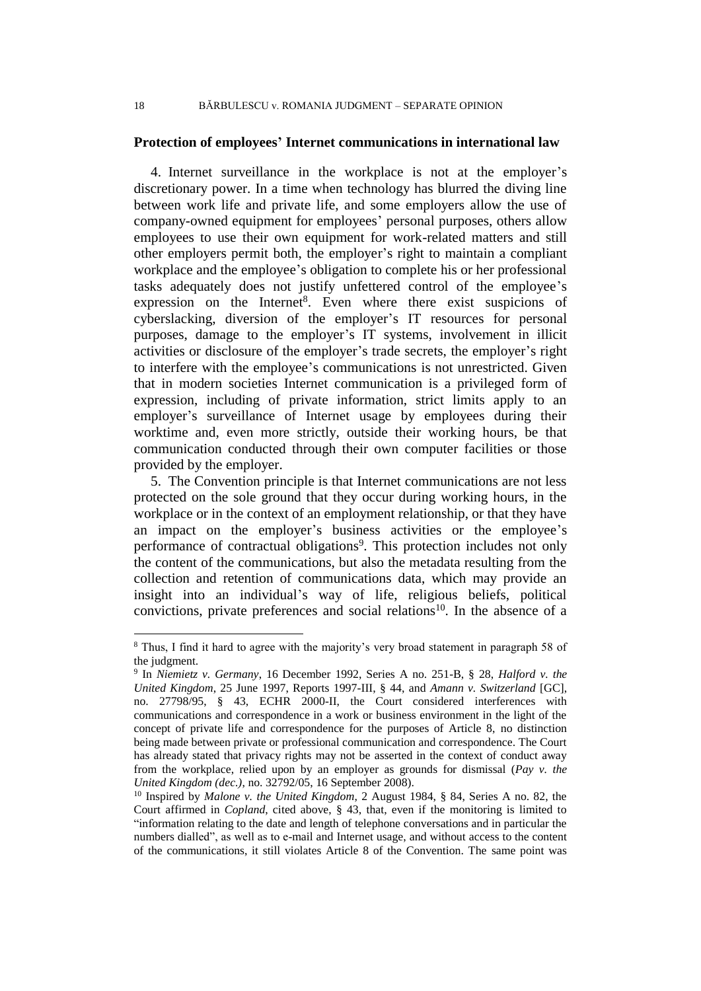## **Protection of employees' Internet communications in international law**

4. Internet surveillance in the workplace is not at the employer's discretionary power. In a time when technology has blurred the diving line between work life and private life, and some employers allow the use of company-owned equipment for employees' personal purposes, others allow employees to use their own equipment for work-related matters and still other employers permit both, the employer's right to maintain a compliant workplace and the employee's obligation to complete his or her professional tasks adequately does not justify unfettered control of the employee's expression on the Internet<sup>8</sup>. Even where there exist suspicions of cyberslacking, diversion of the employer's IT resources for personal purposes, damage to the employer's IT systems, involvement in illicit activities or disclosure of the employer's trade secrets, the employer's right to interfere with the employee's communications is not unrestricted. Given that in modern societies Internet communication is a privileged form of expression, including of private information, strict limits apply to an employer's surveillance of Internet usage by employees during their worktime and, even more strictly, outside their working hours, be that communication conducted through their own computer facilities or those provided by the employer.

5. The Convention principle is that Internet communications are not less protected on the sole ground that they occur during working hours, in the workplace or in the context of an employment relationship, or that they have an impact on the employer's business activities or the employee's performance of contractual obligations<sup>9</sup>. This protection includes not only the content of the communications, but also the metadata resulting from the collection and retention of communications data, which may provide an insight into an individual's way of life, religious beliefs, political convictions, private preferences and social relations<sup>10</sup>. In the absence of a

<sup>8</sup> Thus, I find it hard to agree with the majority's very broad statement in paragraph 58 of the judgment.

<sup>9</sup> In *Niemietz v. Germany*, 16 December 1992, Series A no. 251-B, § 28, *Halford v. the United Kingdom*, 25 June 1997, Reports 1997-III, § 44, and *Amann v. Switzerland* [GC], no. 27798/95, § 43, ECHR 2000-II, the Court considered interferences with communications and correspondence in a work or business environment in the light of the concept of private life and correspondence for the purposes of Article 8, no distinction being made between private or professional communication and correspondence. The Court has already stated that privacy rights may not be asserted in the context of conduct away from the workplace, relied upon by an employer as grounds for dismissal (*Pay v. the United Kingdom (dec.)*, no. 32792/05, 16 September 2008).

<sup>10</sup> Inspired by *Malone v. the United Kingdom*, 2 August 1984, § 84, Series A no. 82, the Court affirmed in *Copland*, cited above, § 43, that, even if the monitoring is limited to "information relating to the date and length of telephone conversations and in particular the numbers dialled", as well as to e-mail and Internet usage, and without access to the content of the communications, it still violates Article 8 of the Convention. The same point was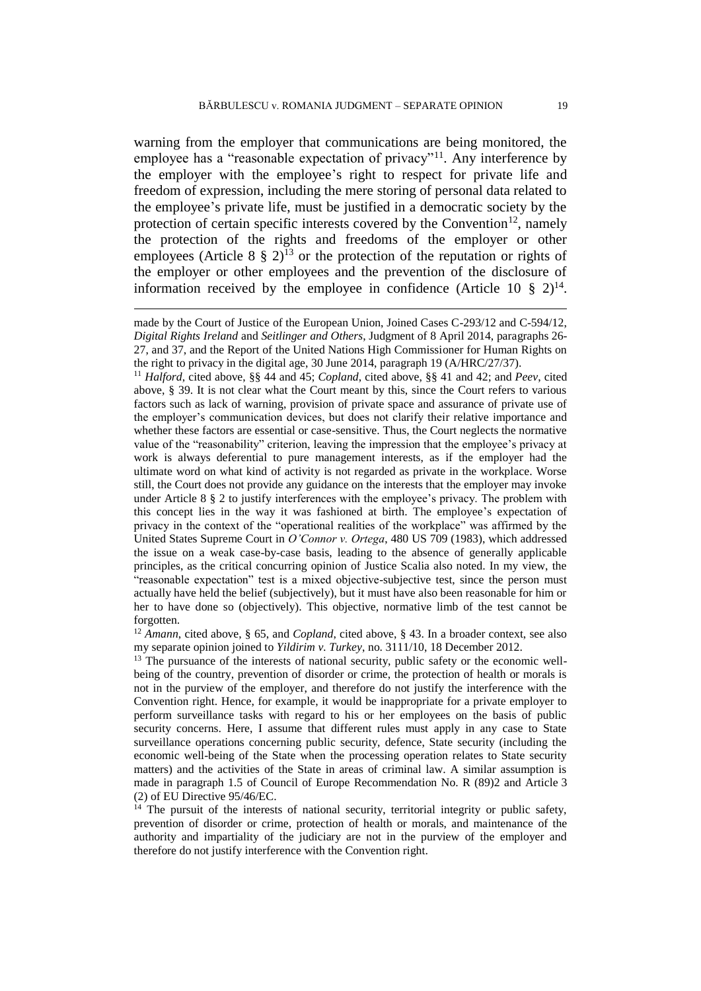warning from the employer that communications are being monitored, the employee has a "reasonable expectation of privacy"<sup>11</sup>. Any interference by the employer with the employee's right to respect for private life and freedom of expression, including the mere storing of personal data related to the employee's private life, must be justified in a democratic society by the protection of certain specific interests covered by the Convention<sup>12</sup>, namely the protection of the rights and freedoms of the employer or other employees (Article 8  $\S$  2)<sup>13</sup> or the protection of the reputation or rights of the employer or other employees and the prevention of the disclosure of information received by the employee in confidence (Article 10  $\S$  2)<sup>14</sup>.

 $\overline{a}$ 

<sup>11</sup> *Halford*, cited above, §§ 44 and 45; *Copland*, cited above, §§ 41 and 42; and *Peev*, cited above, § 39. It is not clear what the Court meant by this, since the Court refers to various factors such as lack of warning, provision of private space and assurance of private use of the employer's communication devices, but does not clarify their relative importance and whether these factors are essential or case-sensitive. Thus, the Court neglects the normative value of the "reasonability" criterion, leaving the impression that the employee's privacy at work is always deferential to pure management interests, as if the employer had the ultimate word on what kind of activity is not regarded as private in the workplace. Worse still, the Court does not provide any guidance on the interests that the employer may invoke under Article 8 § 2 to justify interferences with the employee's privacy. The problem with this concept lies in the way it was fashioned at birth. The employee's expectation of privacy in the context of the "operational realities of the workplace" was affirmed by the United States Supreme Court in *O'Connor v. Ortega*, 480 US 709 (1983), which addressed the issue on a weak case-by-case basis, leading to the absence of generally applicable principles, as the critical concurring opinion of Justice Scalia also noted. In my view, the "reasonable expectation" test is a mixed objective-subjective test, since the person must actually have held the belief (subjectively), but it must have also been reasonable for him or her to have done so (objectively). This objective, normative limb of the test cannot be forgotten.

<sup>12</sup> *Amann*, cited above, § 65, and *Copland*, cited above, § 43. In a broader context, see also my separate opinion joined to *Yildirim v. Turkey*, no. 3111/10, 18 December 2012.

<sup>13</sup> The pursuance of the interests of national security, public safety or the economic wellbeing of the country, prevention of disorder or crime, the protection of health or morals is not in the purview of the employer, and therefore do not justify the interference with the Convention right. Hence, for example, it would be inappropriate for a private employer to perform surveillance tasks with regard to his or her employees on the basis of public security concerns. Here, I assume that different rules must apply in any case to State surveillance operations concerning public security, defence, State security (including the economic well-being of the State when the processing operation relates to State security matters) and the activities of the State in areas of criminal law. A similar assumption is made in paragraph 1.5 of Council of Europe Recommendation No. R (89)2 and Article 3 (2) of EU Directive 95/46/EC.

<sup>14</sup> The pursuit of the interests of national security, territorial integrity or public safety, prevention of disorder or crime, protection of health or morals, and maintenance of the authority and impartiality of the judiciary are not in the purview of the employer and therefore do not justify interference with the Convention right.

made by the Court of Justice of the European Union, Joined Cases C-293/12 and C-594/12, *Digital Rights Ireland* and *Seitlinger and Others*, Judgment of 8 April 2014, paragraphs 26- 27, and 37, and the Report of the United Nations High Commissioner for Human Rights on the right to privacy in the digital age, 30 June 2014, paragraph 19 (A/HRC/27/37).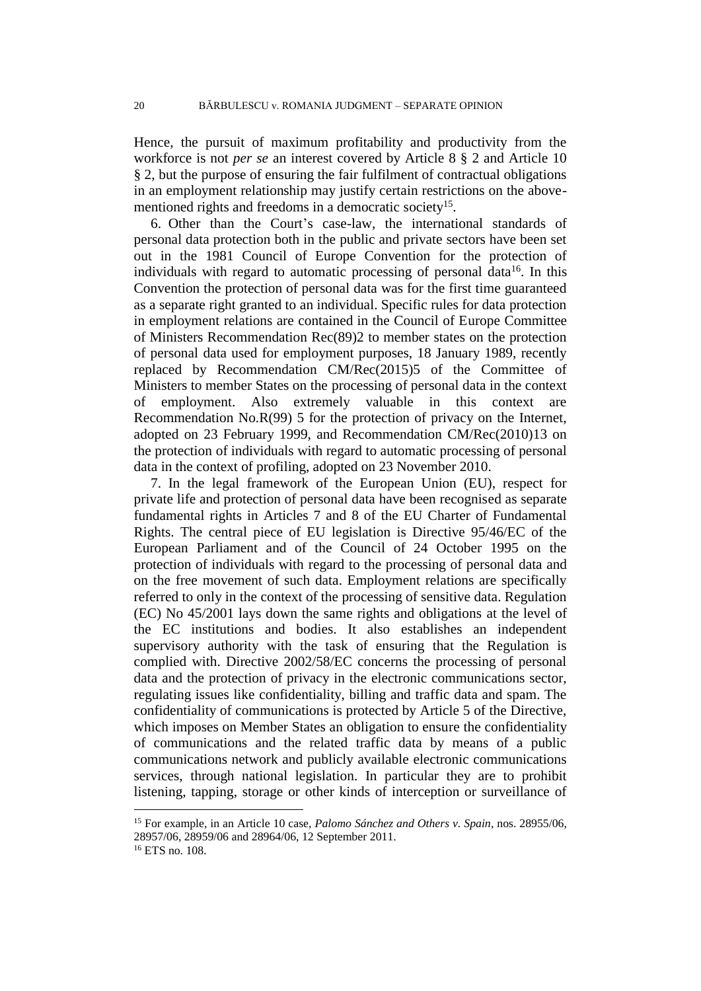Hence, the pursuit of maximum profitability and productivity from the workforce is not *per se* an interest covered by Article 8 § 2 and Article 10 § 2, but the purpose of ensuring the fair fulfilment of contractual obligations in an employment relationship may justify certain restrictions on the abovementioned rights and freedoms in a democratic society<sup>15</sup>.

6. Other than the Court's case-law, the international standards of personal data protection both in the public and private sectors have been set out in the 1981 Council of Europe Convention for the protection of individuals with regard to automatic processing of personal data $16$ . In this Convention the protection of personal data was for the first time guaranteed as a separate right granted to an individual. Specific rules for data protection in employment relations are contained in the Council of Europe Committee of Ministers Recommendation Rec(89)2 to member states on the protection of personal data used for employment purposes, 18 January 1989, recently replaced by Recommendation CM/Rec(2015)5 of the Committee of Ministers to member States on the processing of personal data in the context of employment. Also extremely valuable in this context are Recommendation No.R(99) 5 for the protection of privacy on the Internet, adopted on 23 February 1999, and Recommendation CM/Rec(2010)13 on the protection of individuals with regard to automatic processing of personal data in the context of profiling, adopted on 23 November 2010.

7. In the legal framework of the European Union (EU), respect for private life and protection of personal data have been recognised as separate fundamental rights in Articles 7 and 8 of the EU Charter of Fundamental Rights. The central piece of EU legislation is Directive 95/46/EC of the European Parliament and of the Council of 24 October 1995 on the protection of individuals with regard to the processing of personal data and on the free movement of such data. Employment relations are specifically referred to only in the context of the processing of sensitive data. Regulation (EC) No 45/2001 lays down the same rights and obligations at the level of the EC institutions and bodies. It also establishes an independent supervisory authority with the task of ensuring that the Regulation is complied with. Directive 2002/58/EC concerns the processing of personal data and the protection of privacy in the electronic communications sector, regulating issues like confidentiality, billing and traffic data and spam. The confidentiality of communications is protected by Article 5 of the Directive, which imposes on Member States an obligation to ensure the confidentiality of communications and the related traffic data by means of a public communications network and publicly available electronic communications services, through national legislation. In particular they are to prohibit listening, tapping, storage or other kinds of interception or surveillance of

<sup>15</sup> For example, in an Article 10 case, *Palomo Sánchez and Others v. Spain*, nos. 28955/06, 28957/06, 28959/06 and 28964/06, 12 September 2011.

<sup>16</sup> ETS no. 108.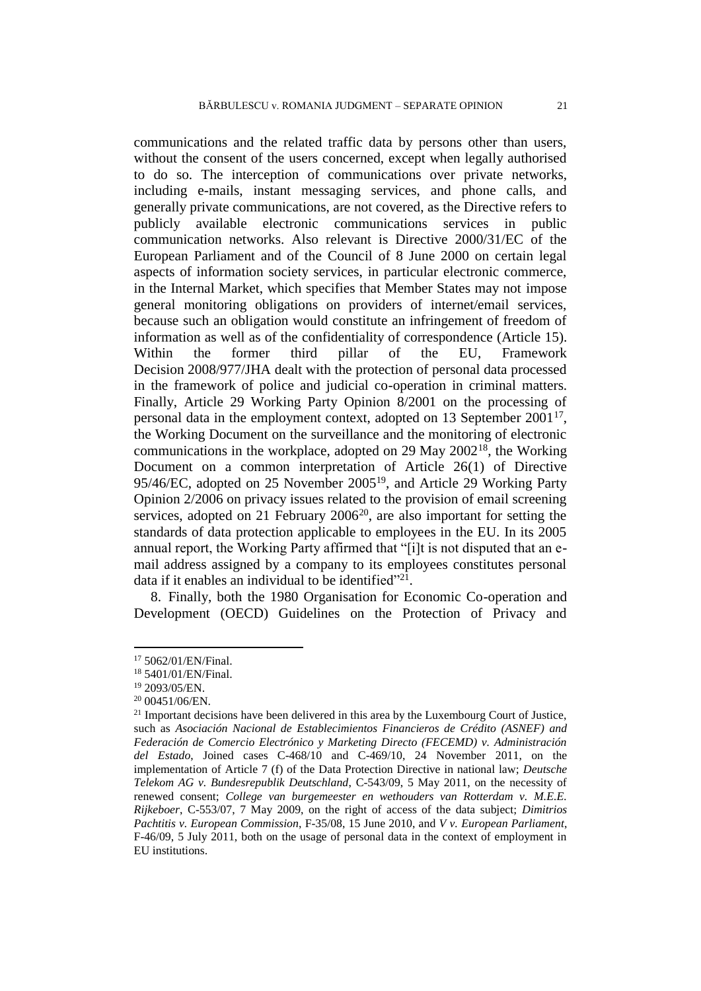communications and the related traffic data by persons other than users, without the consent of the users concerned, except when legally authorised to do so. The interception of communications over private networks, including e-mails, instant messaging services, and phone calls, and generally private communications, are not covered, as the Directive refers to publicly available electronic communications services in public communication networks. Also relevant is Directive 2000/31/EC of the European Parliament and of the Council of 8 June 2000 on certain legal aspects of information society services, in particular electronic commerce, in the Internal Market, which specifies that Member States may not impose general monitoring obligations on providers of internet/email services, because such an obligation would constitute an infringement of freedom of information as well as of the confidentiality of correspondence (Article 15). Within the former third pillar of the EU, Framework Decision 2008/977/JHA dealt with the protection of personal data processed in the framework of police and judicial co-operation in criminal matters. Finally, Article 29 Working Party Opinion 8/2001 on the processing of personal data in the employment context, adopted on 13 September 2001<sup>17</sup>, the Working Document on the surveillance and the monitoring of electronic communications in the workplace, adopted on 29 May 2002<sup>18</sup>, the Working Document on a common interpretation of Article 26(1) of Directive 95/46/EC, adopted on 25 November 2005<sup>19</sup>, and Article 29 Working Party Opinion 2/2006 on privacy issues related to the provision of email screening services, adopted on 21 February 2006<sup>20</sup>, are also important for setting the standards of data protection applicable to employees in the EU. In its 2005 annual report, the Working Party affirmed that "[i]t is not disputed that an email address assigned by a company to its employees constitutes personal data if it enables an individual to be identified"<sup>21</sup>.

8. Finally, both the 1980 Organisation for Economic Co-operation and Development (OECD) Guidelines on the Protection of Privacy and

<sup>17</sup> 5062/01/EN/Final.

<sup>18</sup> 5401/01/EN/Final.

<sup>19</sup> 2093/05/EN.

<sup>20</sup> 00451/06/EN.

 $21$  Important decisions have been delivered in this area by the Luxembourg Court of Justice, such as *Asociación Nacional de Establecimientos Financieros de Crédito (ASNEF) and Federación de Comercio Electrónico y Marketing Directo (FECEMD) v. Administración del Estado*, Joined cases C-468/10 and C-469/10, 24 November 2011, on the implementation of Article 7 (f) of the Data Protection Directive in national law; *Deutsche Telekom AG v. Bundesrepublik Deutschland*, C-543/09, 5 May 2011, on the necessity of renewed consent; *College van burgemeester en wethouders van Rotterdam v. M.E.E. Rijkeboer*, C-553/07, 7 May 2009, on the right of access of the data subject; *Dimitrios Pachtitis v. European Commission*, F-35/08, 15 June 2010, and *V v. European Parliament*, F-46/09, 5 July 2011, both on the usage of personal data in the context of employment in EU institutions.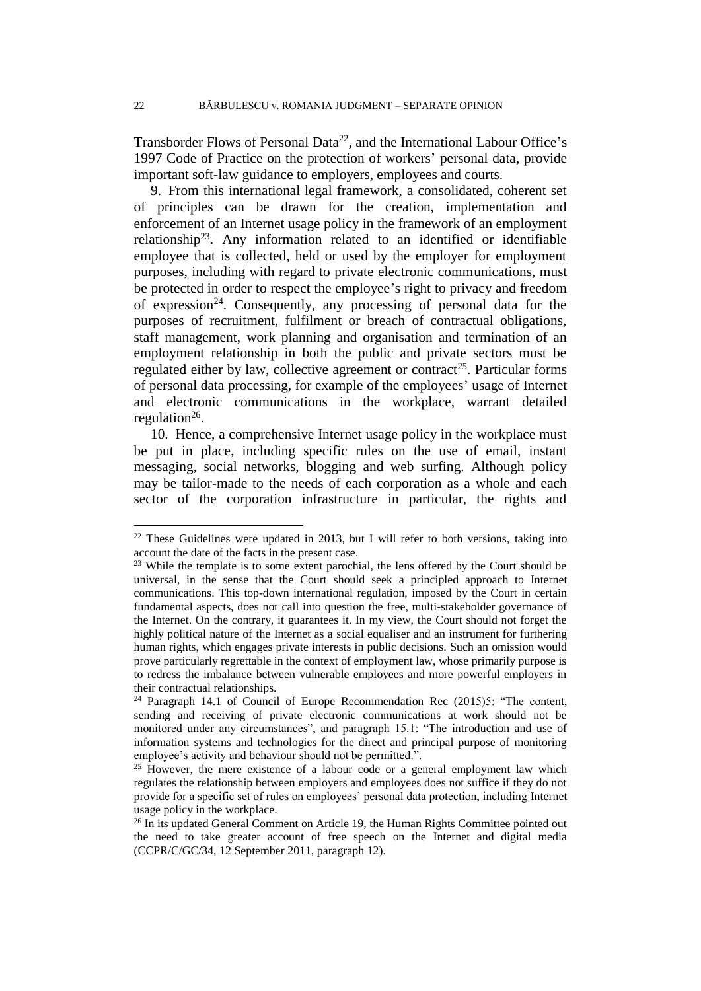Transborder Flows of Personal Data<sup>22</sup>, and the International Labour Office's 1997 Code of Practice on the protection of workers' personal data, provide important soft-law guidance to employers, employees and courts.

9. From this international legal framework, a consolidated, coherent set of principles can be drawn for the creation, implementation and enforcement of an Internet usage policy in the framework of an employment relationship<sup>23</sup>. Any information related to an identified or identifiable employee that is collected, held or used by the employer for employment purposes, including with regard to private electronic communications, must be protected in order to respect the employee's right to privacy and freedom of expression<sup>24</sup>. Consequently, any processing of personal data for the purposes of recruitment, fulfilment or breach of contractual obligations, staff management, work planning and organisation and termination of an employment relationship in both the public and private sectors must be regulated either by law, collective agreement or contract<sup>25</sup>. Particular forms of personal data processing, for example of the employees' usage of Internet and electronic communications in the workplace, warrant detailed regulation $26$ .

10. Hence, a comprehensive Internet usage policy in the workplace must be put in place, including specific rules on the use of email, instant messaging, social networks, blogging and web surfing. Although policy may be tailor-made to the needs of each corporation as a whole and each sector of the corporation infrastructure in particular, the rights and

<sup>&</sup>lt;sup>22</sup> These Guidelines were updated in 2013, but I will refer to both versions, taking into account the date of the facts in the present case.

<sup>&</sup>lt;sup>23</sup> While the template is to some extent parochial, the lens offered by the Court should be universal, in the sense that the Court should seek a principled approach to Internet communications. This top-down international regulation, imposed by the Court in certain fundamental aspects, does not call into question the free, multi-stakeholder governance of the Internet. On the contrary, it guarantees it. In my view, the Court should not forget the highly political nature of the Internet as a social equaliser and an instrument for furthering human rights, which engages private interests in public decisions. Such an omission would prove particularly regrettable in the context of employment law, whose primarily purpose is to redress the imbalance between vulnerable employees and more powerful employers in their contractual relationships.

<sup>&</sup>lt;sup>24</sup> Paragraph 14.1 of Council of Europe Recommendation Rec (2015)5: "The content, sending and receiving of private electronic communications at work should not be monitored under any circumstances", and paragraph 15.1: "The introduction and use of information systems and technologies for the direct and principal purpose of monitoring employee's activity and behaviour should not be permitted.".

<sup>&</sup>lt;sup>25</sup> However, the mere existence of a labour code or a general employment law which regulates the relationship between employers and employees does not suffice if they do not provide for a specific set of rules on employees' personal data protection, including Internet usage policy in the workplace.

<sup>&</sup>lt;sup>26</sup> In its updated General Comment on Article 19, the Human Rights Committee pointed out the need to take greater account of free speech on the Internet and digital media (CCPR/C/GC/34, 12 September 2011, paragraph 12).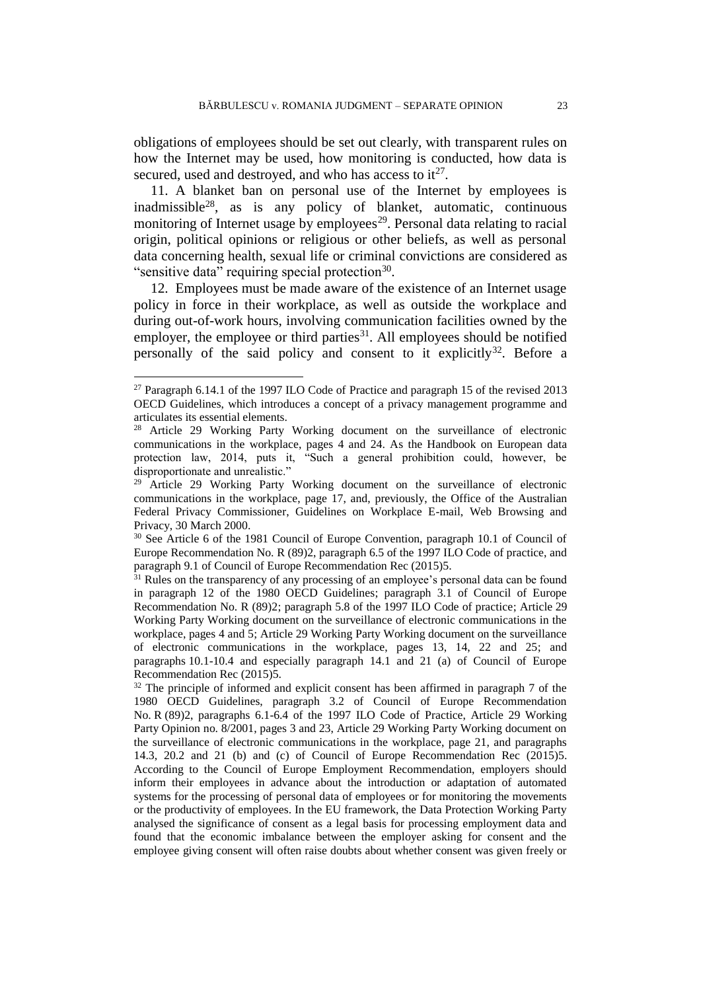obligations of employees should be set out clearly, with transparent rules on how the Internet may be used, how monitoring is conducted, how data is secured, used and destroyed, and who has access to  $it^{27}$ .

11. A blanket ban on personal use of the Internet by employees is inadmissible<sup>28</sup>, as is any policy of blanket, automatic, continuous monitoring of Internet usage by employees<sup>29</sup>. Personal data relating to racial origin, political opinions or religious or other beliefs, as well as personal data concerning health, sexual life or criminal convictions are considered as "sensitive data" requiring special protection<sup>30</sup>.

12. Employees must be made aware of the existence of an Internet usage policy in force in their workplace, as well as outside the workplace and during out-of-work hours, involving communication facilities owned by the employer, the employee or third parties<sup>31</sup>. All employees should be notified personally of the said policy and consent to it explicitly<sup>32</sup>. Before a

<sup>&</sup>lt;sup>27</sup> Paragraph 6.14.1 of the 1997 ILO Code of Practice and paragraph 15 of the revised 2013 OECD Guidelines, which introduces a concept of a privacy management programme and articulates its essential elements.

<sup>28</sup> Article 29 Working Party Working document on the surveillance of electronic communications in the workplace, pages 4 and 24. As the Handbook on European data protection law, 2014, puts it, "Such a general prohibition could, however, be disproportionate and unrealistic."

<sup>29</sup> Article 29 Working Party Working document on the surveillance of electronic communications in the workplace, page 17, and, previously, the Office of the Australian Federal Privacy Commissioner, Guidelines on Workplace E-mail, Web Browsing and Privacy, 30 March 2000.

<sup>&</sup>lt;sup>30</sup> See Article 6 of the 1981 Council of Europe Convention, paragraph 10.1 of Council of Europe Recommendation No. R (89)2, paragraph 6.5 of the 1997 ILO Code of practice, and paragraph 9.1 of Council of Europe Recommendation Rec (2015)5.

<sup>&</sup>lt;sup>31</sup> Rules on the transparency of any processing of an employee's personal data can be found in paragraph 12 of the 1980 OECD Guidelines; paragraph 3.1 of Council of Europe Recommendation No. R (89)2; paragraph 5.8 of the 1997 ILO Code of practice; Article 29 Working Party Working document on the surveillance of electronic communications in the workplace, pages 4 and 5; Article 29 Working Party Working document on the surveillance of electronic communications in the workplace, pages 13, 14, 22 and 25; and paragraphs 10.1-10.4 and especially paragraph 14.1 and 21 (a) of Council of Europe Recommendation Rec (2015)5.

<sup>&</sup>lt;sup>32</sup> The principle of informed and explicit consent has been affirmed in paragraph 7 of the 1980 OECD Guidelines, paragraph 3.2 of Council of Europe Recommendation No. R (89)2, paragraphs 6.1-6.4 of the 1997 ILO Code of Practice, Article 29 Working Party Opinion no. 8/2001, pages 3 and 23, Article 29 Working Party Working document on the surveillance of electronic communications in the workplace, page 21, and paragraphs 14.3, 20.2 and 21 (b) and (c) of Council of Europe Recommendation Rec (2015)5. According to the Council of Europe Employment Recommendation, employers should inform their employees in advance about the introduction or adaptation of automated systems for the processing of personal data of employees or for monitoring the movements or the productivity of employees. In the EU framework, the Data Protection Working Party analysed the significance of consent as a legal basis for processing employment data and found that the economic imbalance between the employer asking for consent and the employee giving consent will often raise doubts about whether consent was given freely or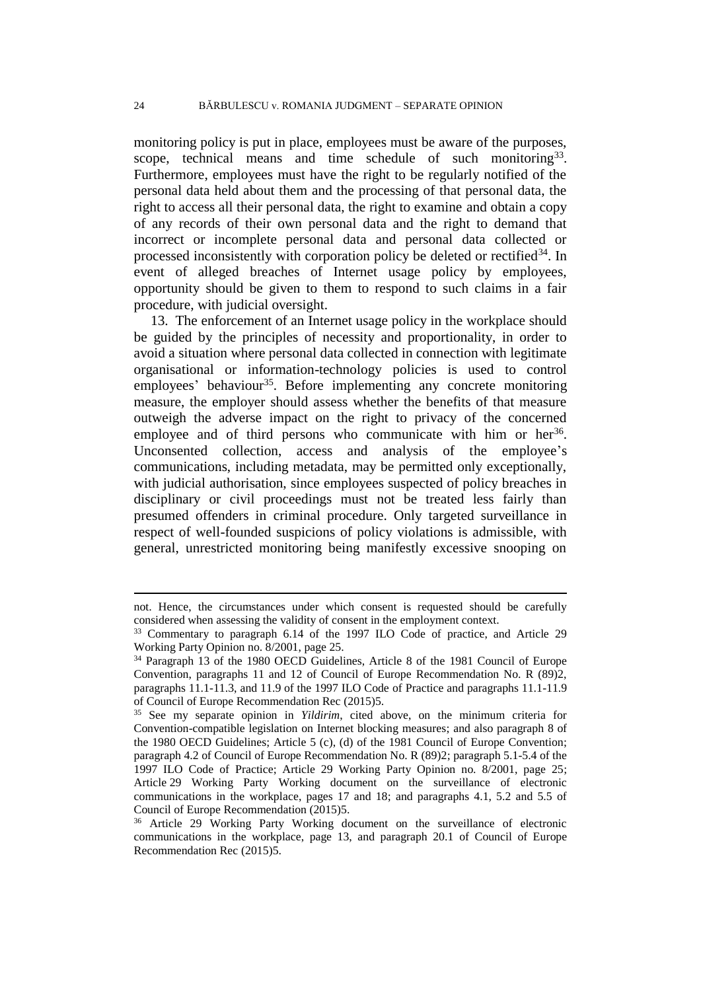monitoring policy is put in place, employees must be aware of the purposes, scope, technical means and time schedule of such monitoring<sup>33</sup>. Furthermore, employees must have the right to be regularly notified of the personal data held about them and the processing of that personal data, the right to access all their personal data, the right to examine and obtain a copy of any records of their own personal data and the right to demand that incorrect or incomplete personal data and personal data collected or processed inconsistently with corporation policy be deleted or rectified<sup>34</sup>. In event of alleged breaches of Internet usage policy by employees, opportunity should be given to them to respond to such claims in a fair procedure, with judicial oversight.

13. The enforcement of an Internet usage policy in the workplace should be guided by the principles of necessity and proportionality, in order to avoid a situation where personal data collected in connection with legitimate organisational or information-technology policies is used to control employees' behaviour<sup>35</sup>. Before implementing any concrete monitoring measure, the employer should assess whether the benefits of that measure outweigh the adverse impact on the right to privacy of the concerned employee and of third persons who communicate with him or her<sup>36</sup>. Unconsented collection, access and analysis of the employee's communications, including metadata, may be permitted only exceptionally, with judicial authorisation, since employees suspected of policy breaches in disciplinary or civil proceedings must not be treated less fairly than presumed offenders in criminal procedure. Only targeted surveillance in respect of well-founded suspicions of policy violations is admissible, with general, unrestricted monitoring being manifestly excessive snooping on

not. Hence, the circumstances under which consent is requested should be carefully considered when assessing the validity of consent in the employment context.

<sup>33</sup> Commentary to paragraph 6.14 of the 1997 ILO Code of practice, and Article 29 Working Party Opinion no. 8/2001, page 25.

<sup>34</sup> Paragraph 13 of the 1980 OECD Guidelines, Article 8 of the 1981 Council of Europe Convention, paragraphs 11 and 12 of Council of Europe Recommendation No. R (89)2, paragraphs 11.1-11.3, and 11.9 of the 1997 ILO Code of Practice and paragraphs 11.1-11.9 of Council of Europe Recommendation Rec (2015)5.

<sup>35</sup> See my separate opinion in *Yildirim*, cited above, on the minimum criteria for Convention-compatible legislation on Internet blocking measures; and also paragraph 8 of the 1980 OECD Guidelines; Article 5 (c), (d) of the 1981 Council of Europe Convention; paragraph 4.2 of Council of Europe Recommendation No. R (89)2; paragraph 5.1-5.4 of the 1997 ILO Code of Practice; Article 29 Working Party Opinion no. 8/2001, page 25; Article 29 Working Party Working document on the surveillance of electronic communications in the workplace, pages 17 and 18; and paragraphs 4.1, 5.2 and 5.5 of Council of Europe Recommendation (2015)5.

<sup>36</sup> Article 29 Working Party Working document on the surveillance of electronic communications in the workplace, page 13, and paragraph 20.1 of Council of Europe Recommendation Rec (2015)5.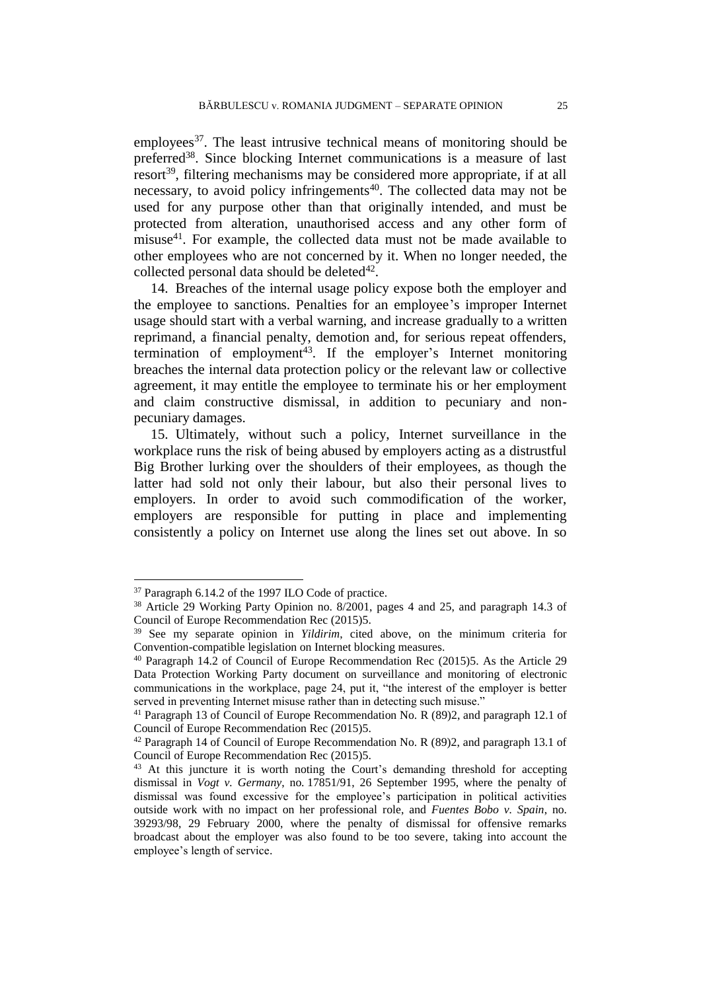employees<sup>37</sup>. The least intrusive technical means of monitoring should be preferred<sup>38</sup>. Since blocking Internet communications is a measure of last resort<sup>39</sup>, filtering mechanisms may be considered more appropriate, if at all necessary, to avoid policy infringements<sup> $40$ </sup>. The collected data may not be used for any purpose other than that originally intended, and must be protected from alteration, unauthorised access and any other form of misuse<sup>41</sup>. For example, the collected data must not be made available to other employees who are not concerned by it. When no longer needed, the collected personal data should be deleted $42$ .

14. Breaches of the internal usage policy expose both the employer and the employee to sanctions. Penalties for an employee's improper Internet usage should start with a verbal warning, and increase gradually to a written reprimand, a financial penalty, demotion and, for serious repeat offenders, termination of employment<sup>43</sup>. If the employer's Internet monitoring breaches the internal data protection policy or the relevant law or collective agreement, it may entitle the employee to terminate his or her employment and claim constructive dismissal, in addition to pecuniary and nonpecuniary damages.

15. Ultimately, without such a policy, Internet surveillance in the workplace runs the risk of being abused by employers acting as a distrustful Big Brother lurking over the shoulders of their employees, as though the latter had sold not only their labour, but also their personal lives to employers. In order to avoid such commodification of the worker, employers are responsible for putting in place and implementing consistently a policy on Internet use along the lines set out above. In so

<sup>37</sup> Paragraph 6.14.2 of the 1997 ILO Code of practice.

<sup>38</sup> Article 29 Working Party Opinion no. 8/2001, pages 4 and 25, and paragraph 14.3 of Council of Europe Recommendation Rec (2015)5.

<sup>39</sup> See my separate opinion in *Yildirim*, cited above, on the minimum criteria for Convention-compatible legislation on Internet blocking measures.

<sup>40</sup> Paragraph 14.2 of Council of Europe Recommendation Rec (2015)5. As the Article 29 Data Protection Working Party document on surveillance and monitoring of electronic communications in the workplace, page 24, put it, "the interest of the employer is better served in preventing Internet misuse rather than in detecting such misuse."

<sup>&</sup>lt;sup>41</sup> Paragraph 13 of Council of Europe Recommendation No. R (89)2, and paragraph 12.1 of Council of Europe Recommendation Rec (2015)5.

 $42$  Paragraph 14 of Council of Europe Recommendation No. R (89)2, and paragraph 13.1 of Council of Europe Recommendation Rec (2015)5.

<sup>&</sup>lt;sup>43</sup> At this juncture it is worth noting the Court's demanding threshold for accepting dismissal in *Vogt v. Germany*, no. 17851/91, 26 September 1995, where the penalty of dismissal was found excessive for the employee's participation in political activities outside work with no impact on her professional role, and *Fuentes Bobo v. Spain*, no. 39293/98, 29 February 2000, where the penalty of dismissal for offensive remarks broadcast about the employer was also found to be too severe, taking into account the employee's length of service.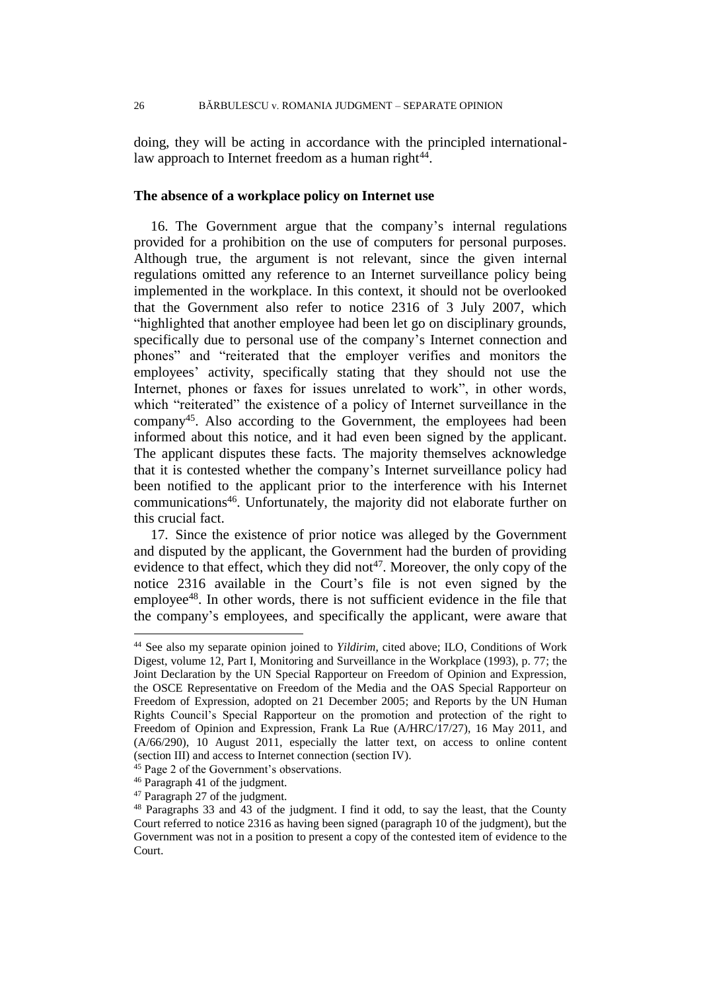doing, they will be acting in accordance with the principled internationallaw approach to Internet freedom as a human right<sup>44</sup>.

## **The absence of a workplace policy on Internet use**

16. The Government argue that the company's internal regulations provided for a prohibition on the use of computers for personal purposes. Although true, the argument is not relevant, since the given internal regulations omitted any reference to an Internet surveillance policy being implemented in the workplace. In this context, it should not be overlooked that the Government also refer to notice 2316 of 3 July 2007, which "highlighted that another employee had been let go on disciplinary grounds, specifically due to personal use of the company's Internet connection and phones" and "reiterated that the employer verifies and monitors the employees' activity, specifically stating that they should not use the Internet, phones or faxes for issues unrelated to work", in other words, which "reiterated" the existence of a policy of Internet surveillance in the company<sup>45</sup>. Also according to the Government, the employees had been informed about this notice, and it had even been signed by the applicant. The applicant disputes these facts. The majority themselves acknowledge that it is contested whether the company's Internet surveillance policy had been notified to the applicant prior to the interference with his Internet communications<sup>46</sup>. Unfortunately, the majority did not elaborate further on this crucial fact.

17. Since the existence of prior notice was alleged by the Government and disputed by the applicant, the Government had the burden of providing evidence to that effect, which they did not<sup>47</sup>. Moreover, the only copy of the notice 2316 available in the Court's file is not even signed by the employee<sup>48</sup>. In other words, there is not sufficient evidence in the file that the company's employees, and specifically the applicant, were aware that

<sup>44</sup> See also my separate opinion joined to *Yildirim*, cited above; ILO, Conditions of Work Digest, volume 12, Part I, Monitoring and Surveillance in the Workplace (1993), p. 77; the Joint Declaration by the UN Special Rapporteur on Freedom of Opinion and Expression, the OSCE Representative on Freedom of the Media and the OAS Special Rapporteur on Freedom of Expression, adopted on 21 December 2005; and Reports by the UN Human Rights Council's Special Rapporteur on the promotion and protection of the right to Freedom of Opinion and Expression, Frank La Rue (A/HRC/17/27), 16 May 2011, and (A/66/290), 10 August 2011, especially the latter text, on access to online content (section III) and access to Internet connection (section IV).

<sup>45</sup> Page 2 of the Government's observations.

<sup>46</sup> Paragraph 41 of the judgment.

<sup>47</sup> Paragraph 27 of the judgment.

<sup>48</sup> Paragraphs 33 and 43 of the judgment. I find it odd, to say the least, that the County Court referred to notice 2316 as having been signed (paragraph 10 of the judgment), but the Government was not in a position to present a copy of the contested item of evidence to the Court.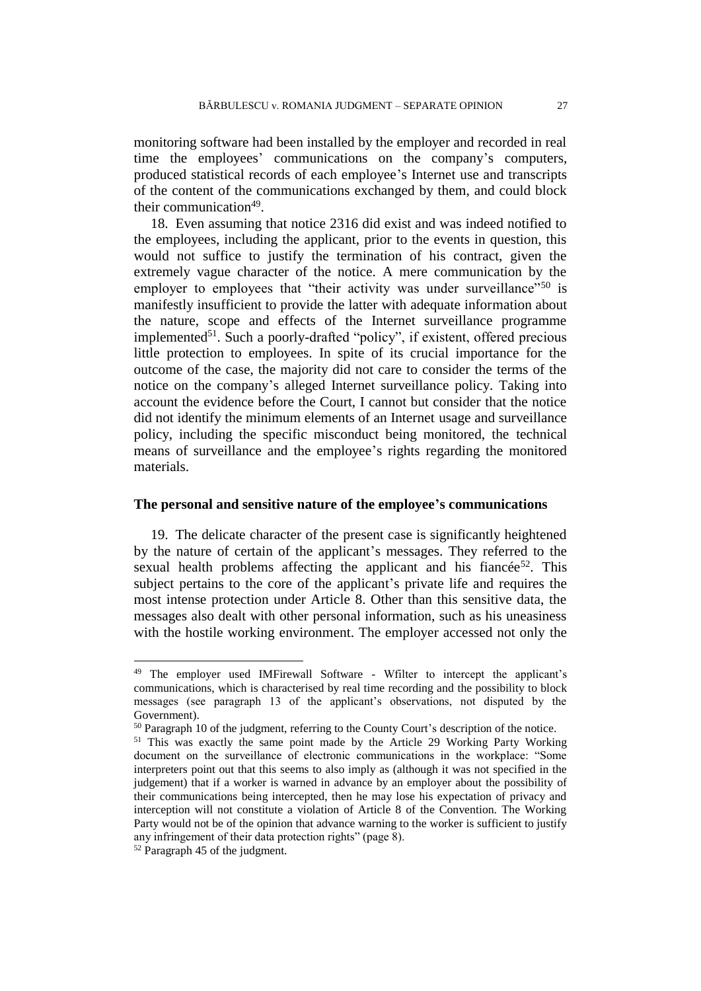monitoring software had been installed by the employer and recorded in real time the employees' communications on the company's computers, produced statistical records of each employee's Internet use and transcripts of the content of the communications exchanged by them, and could block their communication<sup>49</sup>.

18. Even assuming that notice 2316 did exist and was indeed notified to the employees, including the applicant, prior to the events in question, this would not suffice to justify the termination of his contract, given the extremely vague character of the notice. A mere communication by the employer to employees that "their activity was under surveillance"<sup>50</sup> is manifestly insufficient to provide the latter with adequate information about the nature, scope and effects of the Internet surveillance programme implemented<sup>51</sup>. Such a poorly-drafted "policy", if existent, offered precious little protection to employees. In spite of its crucial importance for the outcome of the case, the majority did not care to consider the terms of the notice on the company's alleged Internet surveillance policy. Taking into account the evidence before the Court, I cannot but consider that the notice did not identify the minimum elements of an Internet usage and surveillance policy, including the specific misconduct being monitored, the technical means of surveillance and the employee's rights regarding the monitored materials.

## **The personal and sensitive nature of the employee's communications**

19. The delicate character of the present case is significantly heightened by the nature of certain of the applicant's messages. They referred to the sexual health problems affecting the applicant and his fiance  $e^{52}$ . This subject pertains to the core of the applicant's private life and requires the most intense protection under Article 8. Other than this sensitive data, the messages also dealt with other personal information, such as his uneasiness with the hostile working environment. The employer accessed not only the

<sup>&</sup>lt;sup>49</sup> The employer used IMFirewall Software - Wfilter to intercept the applicant's communications, which is characterised by real time recording and the possibility to block messages (see paragraph 13 of the applicant's observations, not disputed by the Government).

<sup>&</sup>lt;sup>50</sup> Paragraph 10 of the judgment, referring to the County Court's description of the notice.

<sup>51</sup> This was exactly the same point made by the Article 29 Working Party Working document on the surveillance of electronic communications in the workplace: "Some interpreters point out that this seems to also imply as (although it was not specified in the judgement) that if a worker is warned in advance by an employer about the possibility of their communications being intercepted, then he may lose his expectation of privacy and interception will not constitute a violation of Article 8 of the Convention. The Working Party would not be of the opinion that advance warning to the worker is sufficient to justify any infringement of their data protection rights" (page 8).

<sup>52</sup> Paragraph 45 of the judgment.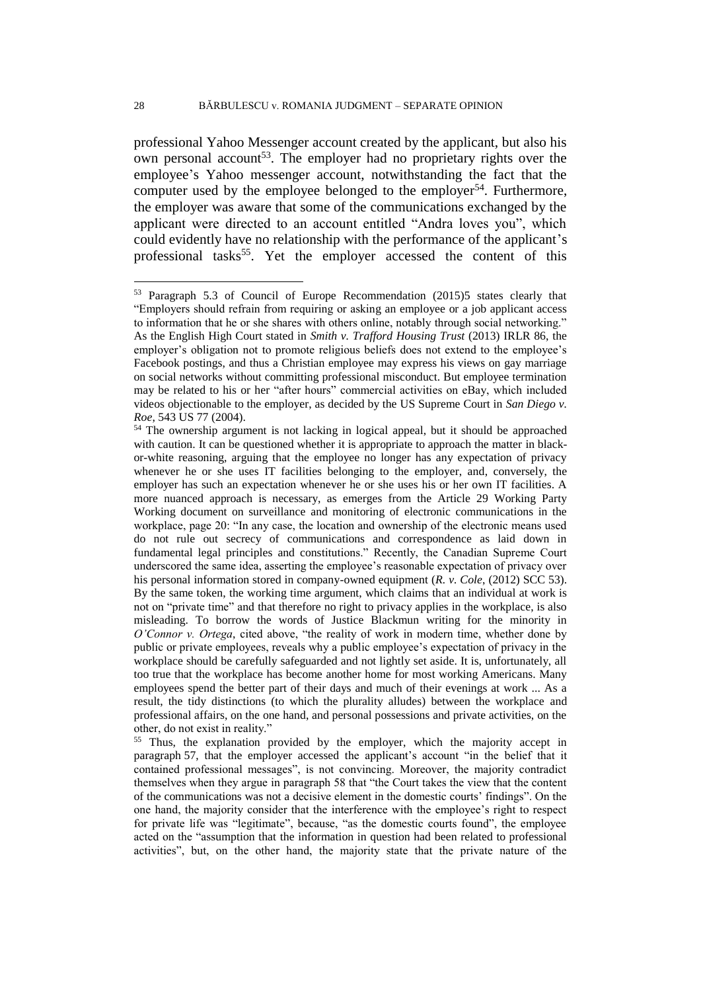professional Yahoo Messenger account created by the applicant, but also his own personal account<sup>53</sup>. The employer had no proprietary rights over the employee's Yahoo messenger account, notwithstanding the fact that the computer used by the employee belonged to the employer<sup>54</sup>. Furthermore, the employer was aware that some of the communications exchanged by the applicant were directed to an account entitled "Andra loves you", which could evidently have no relationship with the performance of the applicant's professional tasks<sup>55</sup>. Yet the employer accessed the content of this

<sup>53</sup> Paragraph 5.3 of Council of Europe Recommendation (2015)5 states clearly that "Employers should refrain from requiring or asking an employee or a job applicant access to information that he or she shares with others online, notably through social networking." As the English High Court stated in *Smith v. Trafford Housing Trust* (2013) IRLR 86, the employer's obligation not to promote religious beliefs does not extend to the employee's Facebook postings, and thus a Christian employee may express his views on gay marriage on social networks without committing professional misconduct. But employee termination may be related to his or her "after hours" commercial activities on eBay, which included videos objectionable to the employer, as decided by the US Supreme Court in *San Diego v. Roe*, 543 US 77 (2004).

<sup>54</sup> The ownership argument is not lacking in logical appeal, but it should be approached with caution. It can be questioned whether it is appropriate to approach the matter in blackor-white reasoning, arguing that the employee no longer has any expectation of privacy whenever he or she uses IT facilities belonging to the employer, and, conversely, the employer has such an expectation whenever he or she uses his or her own IT facilities. A more nuanced approach is necessary, as emerges from the Article 29 Working Party Working document on surveillance and monitoring of electronic communications in the workplace, page 20: "In any case, the location and ownership of the electronic means used do not rule out secrecy of communications and correspondence as laid down in fundamental legal principles and constitutions." Recently, the Canadian Supreme Court underscored the same idea, asserting the employee's reasonable expectation of privacy over his personal information stored in company-owned equipment (*R. v. Cole*, (2012) SCC 53). By the same token, the working time argument, which claims that an individual at work is not on "private time" and that therefore no right to privacy applies in the workplace, is also misleading. To borrow the words of Justice Blackmun writing for the minority in *O'Connor v. Ortega*, cited above, "the reality of work in modern time, whether done by public or private employees, reveals why a public employee's expectation of privacy in the workplace should be carefully safeguarded and not lightly set aside. It is, unfortunately, all too true that the workplace has become another home for most working Americans. Many employees spend the better part of their days and much of their evenings at work ... As a result, the tidy distinctions (to which the plurality alludes) between the workplace and professional affairs, on the one hand, and personal possessions and private activities, on the other, do not exist in reality."

<sup>&</sup>lt;sup>55</sup> Thus, the explanation provided by the employer, which the majority accept in paragraph 57, that the employer accessed the applicant's account "in the belief that it contained professional messages", is not convincing. Moreover, the majority contradict themselves when they argue in paragraph 58 that "the Court takes the view that the content of the communications was not a decisive element in the domestic courts' findings". On the one hand, the majority consider that the interference with the employee's right to respect for private life was "legitimate", because, "as the domestic courts found", the employee acted on the "assumption that the information in question had been related to professional activities", but, on the other hand, the majority state that the private nature of the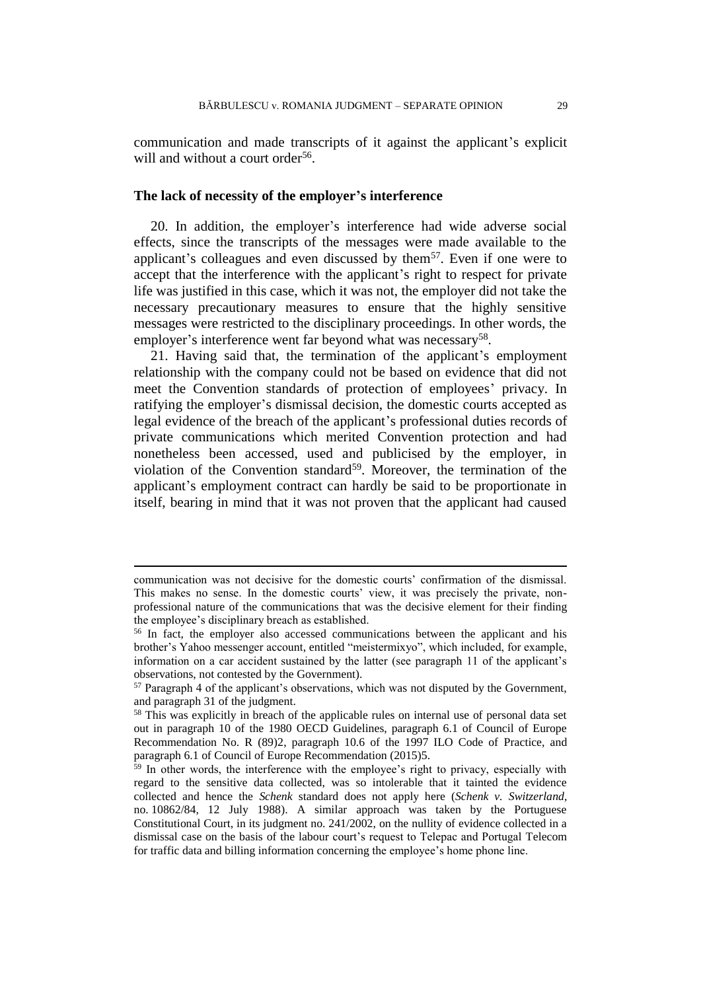communication and made transcripts of it against the applicant's explicit will and without a court order<sup>56</sup>.

## **The lack of necessity of the employer's interference**

20. In addition, the employer's interference had wide adverse social effects, since the transcripts of the messages were made available to the applicant's colleagues and even discussed by them<sup>57</sup>. Even if one were to accept that the interference with the applicant's right to respect for private life was justified in this case, which it was not, the employer did not take the necessary precautionary measures to ensure that the highly sensitive messages were restricted to the disciplinary proceedings. In other words, the employer's interference went far beyond what was necessary<sup>58</sup>.

21. Having said that, the termination of the applicant's employment relationship with the company could not be based on evidence that did not meet the Convention standards of protection of employees' privacy. In ratifying the employer's dismissal decision, the domestic courts accepted as legal evidence of the breach of the applicant's professional duties records of private communications which merited Convention protection and had nonetheless been accessed, used and publicised by the employer, in violation of the Convention standard<sup>59</sup>. Moreover, the termination of the applicant's employment contract can hardly be said to be proportionate in itself, bearing in mind that it was not proven that the applicant had caused

communication was not decisive for the domestic courts' confirmation of the dismissal. This makes no sense. In the domestic courts' view, it was precisely the private, nonprofessional nature of the communications that was the decisive element for their finding the employee's disciplinary breach as established.

<sup>56</sup> In fact, the employer also accessed communications between the applicant and his brother's Yahoo messenger account, entitled "meistermixyo", which included, for example, information on a car accident sustained by the latter (see paragraph 11 of the applicant's observations, not contested by the Government).

<sup>&</sup>lt;sup>57</sup> Paragraph 4 of the applicant's observations, which was not disputed by the Government, and paragraph 31 of the judgment.

<sup>&</sup>lt;sup>58</sup> This was explicitly in breach of the applicable rules on internal use of personal data set out in paragraph 10 of the 1980 OECD Guidelines, paragraph 6.1 of Council of Europe Recommendation No. R (89)2, paragraph 10.6 of the 1997 ILO Code of Practice, and paragraph 6.1 of Council of Europe Recommendation (2015)5.

 $\frac{59}{9}$  In other words, the interference with the employee's right to privacy, especially with regard to the sensitive data collected, was so intolerable that it tainted the evidence collected and hence the *Schenk* standard does not apply here (*Schenk v. Switzerland*, no. 10862/84, 12 July 1988). A similar approach was taken by the Portuguese Constitutional Court, in its judgment no. 241/2002, on the nullity of evidence collected in a dismissal case on the basis of the labour court's request to Telepac and Portugal Telecom for traffic data and billing information concerning the employee's home phone line.